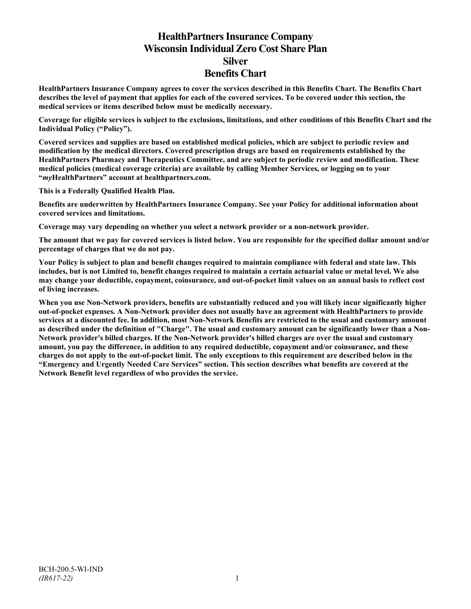# **HealthPartners Insurance Company Wisconsin Individual Zero Cost Share Plan Silver Benefits Chart**

**HealthPartners Insurance Company agrees to cover the services described in this Benefits Chart. The Benefits Chart describes the level of payment that applies for each of the covered services. To be covered under this section, the medical services or items described below must be medically necessary.**

**Coverage for eligible services is subject to the exclusions, limitations, and other conditions of this Benefits Chart and the Individual Policy ("Policy").**

**Covered services and supplies are based on established medical policies, which are subject to periodic review and modification by the medical directors. Covered prescription drugs are based on requirements established by the HealthPartners Pharmacy and Therapeutics Committee, and are subject to periodic review and modification. These medical policies (medical coverage criteria) are available by calling Member Services, or logging on to your "***my***HealthPartners" account at [healthpartners.com.](http://www.healthpartners.com/)**

**This is a Federally Qualified Health Plan.**

**Benefits are underwritten by HealthPartners Insurance Company. See your Policy for additional information about covered services and limitations.**

**Coverage may vary depending on whether you select a network provider or a non-network provider.**

**The amount that we pay for covered services is listed below. You are responsible for the specified dollar amount and/or percentage of charges that we do not pay.**

**Your Policy is subject to plan and benefit changes required to maintain compliance with federal and state law. This includes, but is not Limited to, benefit changes required to maintain a certain actuarial value or metal level. We also may change your deductible, copayment, coinsurance, and out-of-pocket limit values on an annual basis to reflect cost of living increases.**

**When you use Non-Network providers, benefits are substantially reduced and you will likely incur significantly higher out-of-pocket expenses. A Non-Network provider does not usually have an agreement with HealthPartners to provide services at a discounted fee. In addition, most Non-Network Benefits are restricted to the usual and customary amount as described under the definition of "Charge". The usual and customary amount can be significantly lower than a Non-Network provider's billed charges. If the Non-Network provider's billed charges are over the usual and customary amount, you pay the difference, in addition to any required deductible, copayment and/or coinsurance, and these charges do not apply to the out-of-pocket limit. The only exceptions to this requirement are described below in the "Emergency and Urgently Needed Care Services" section. This section describes what benefits are covered at the Network Benefit level regardless of who provides the service.**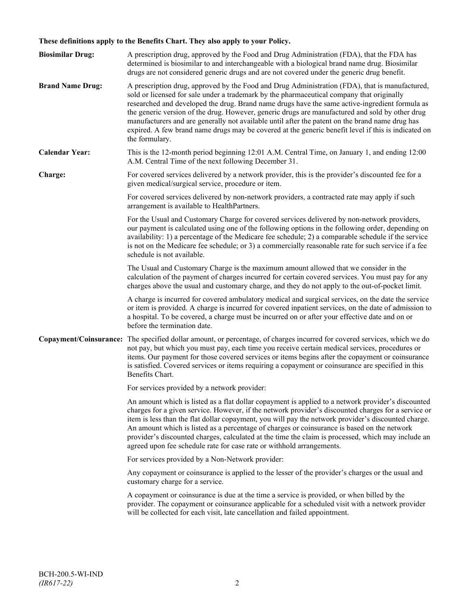# **These definitions apply to the Benefits Chart. They also apply to your Policy.**

| <b>Biosimilar Drug:</b> | A prescription drug, approved by the Food and Drug Administration (FDA), that the FDA has<br>determined is biosimilar to and interchangeable with a biological brand name drug. Biosimilar<br>drugs are not considered generic drugs and are not covered under the generic drug benefit.                                                                                                                                                                                                                                                                                                                                     |
|-------------------------|------------------------------------------------------------------------------------------------------------------------------------------------------------------------------------------------------------------------------------------------------------------------------------------------------------------------------------------------------------------------------------------------------------------------------------------------------------------------------------------------------------------------------------------------------------------------------------------------------------------------------|
| <b>Brand Name Drug:</b> | A prescription drug, approved by the Food and Drug Administration (FDA), that is manufactured,<br>sold or licensed for sale under a trademark by the pharmaceutical company that originally<br>researched and developed the drug. Brand name drugs have the same active-ingredient formula as<br>the generic version of the drug. However, generic drugs are manufactured and sold by other drug<br>manufacturers and are generally not available until after the patent on the brand name drug has<br>expired. A few brand name drugs may be covered at the generic benefit level if this is indicated on<br>the formulary. |
| <b>Calendar Year:</b>   | This is the 12-month period beginning 12:01 A.M. Central Time, on January 1, and ending 12:00<br>A.M. Central Time of the next following December 31.                                                                                                                                                                                                                                                                                                                                                                                                                                                                        |
| Charge:                 | For covered services delivered by a network provider, this is the provider's discounted fee for a<br>given medical/surgical service, procedure or item.                                                                                                                                                                                                                                                                                                                                                                                                                                                                      |
|                         | For covered services delivered by non-network providers, a contracted rate may apply if such<br>arrangement is available to HealthPartners.                                                                                                                                                                                                                                                                                                                                                                                                                                                                                  |
|                         | For the Usual and Customary Charge for covered services delivered by non-network providers,<br>our payment is calculated using one of the following options in the following order, depending on<br>availability: 1) a percentage of the Medicare fee schedule; 2) a comparable schedule if the service<br>is not on the Medicare fee schedule; or 3) a commercially reasonable rate for such service if a fee<br>schedule is not available.                                                                                                                                                                                 |
|                         | The Usual and Customary Charge is the maximum amount allowed that we consider in the<br>calculation of the payment of charges incurred for certain covered services. You must pay for any<br>charges above the usual and customary charge, and they do not apply to the out-of-pocket limit.                                                                                                                                                                                                                                                                                                                                 |
|                         | A charge is incurred for covered ambulatory medical and surgical services, on the date the service<br>or item is provided. A charge is incurred for covered inpatient services, on the date of admission to<br>a hospital. To be covered, a charge must be incurred on or after your effective date and on or<br>before the termination date.                                                                                                                                                                                                                                                                                |
|                         | Copayment/Coinsurance: The specified dollar amount, or percentage, of charges incurred for covered services, which we do<br>not pay, but which you must pay, each time you receive certain medical services, procedures or<br>items. Our payment for those covered services or items begins after the copayment or coinsurance<br>is satisfied. Covered services or items requiring a copayment or coinsurance are specified in this<br>Benefits Chart.                                                                                                                                                                      |
|                         | For services provided by a network provider:                                                                                                                                                                                                                                                                                                                                                                                                                                                                                                                                                                                 |
|                         | An amount which is listed as a flat dollar copayment is applied to a network provider's discounted<br>charges for a given service. However, if the network provider's discounted charges for a service or<br>item is less than the flat dollar copayment, you will pay the network provider's discounted charge.<br>An amount which is listed as a percentage of charges or coinsurance is based on the network<br>provider's discounted charges, calculated at the time the claim is processed, which may include an<br>agreed upon fee schedule rate for case rate or withhold arrangements.                               |
|                         | For services provided by a Non-Network provider:                                                                                                                                                                                                                                                                                                                                                                                                                                                                                                                                                                             |
|                         | Any copayment or coinsurance is applied to the lesser of the provider's charges or the usual and<br>customary charge for a service.                                                                                                                                                                                                                                                                                                                                                                                                                                                                                          |
|                         | A copayment or coinsurance is due at the time a service is provided, or when billed by the<br>provider. The copayment or coinsurance applicable for a scheduled visit with a network provider<br>will be collected for each visit, late cancellation and failed appointment.                                                                                                                                                                                                                                                                                                                                                 |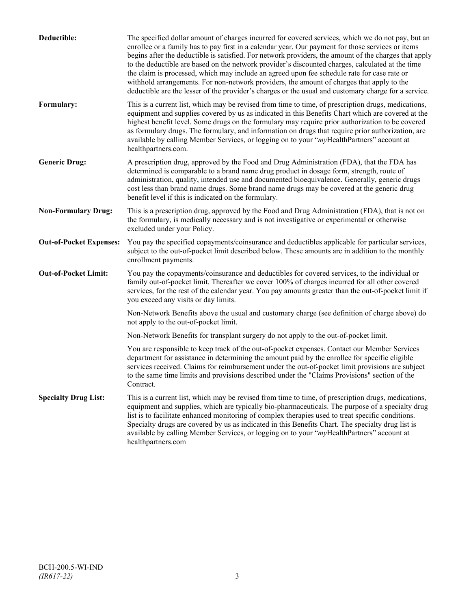| Deductible:                    | The specified dollar amount of charges incurred for covered services, which we do not pay, but an<br>enrollee or a family has to pay first in a calendar year. Our payment for those services or items<br>begins after the deductible is satisfied. For network providers, the amount of the charges that apply<br>to the deductible are based on the network provider's discounted charges, calculated at the time<br>the claim is processed, which may include an agreed upon fee schedule rate for case rate or<br>withhold arrangements. For non-network providers, the amount of charges that apply to the<br>deductible are the lesser of the provider's charges or the usual and customary charge for a service. |
|--------------------------------|-------------------------------------------------------------------------------------------------------------------------------------------------------------------------------------------------------------------------------------------------------------------------------------------------------------------------------------------------------------------------------------------------------------------------------------------------------------------------------------------------------------------------------------------------------------------------------------------------------------------------------------------------------------------------------------------------------------------------|
| Formulary:                     | This is a current list, which may be revised from time to time, of prescription drugs, medications,<br>equipment and supplies covered by us as indicated in this Benefits Chart which are covered at the<br>highest benefit level. Some drugs on the formulary may require prior authorization to be covered<br>as formulary drugs. The formulary, and information on drugs that require prior authorization, are<br>available by calling Member Services, or logging on to your "myHealthPartners" account at<br>healthpartners.com.                                                                                                                                                                                   |
| <b>Generic Drug:</b>           | A prescription drug, approved by the Food and Drug Administration (FDA), that the FDA has<br>determined is comparable to a brand name drug product in dosage form, strength, route of<br>administration, quality, intended use and documented bioequivalence. Generally, generic drugs<br>cost less than brand name drugs. Some brand name drugs may be covered at the generic drug<br>benefit level if this is indicated on the formulary.                                                                                                                                                                                                                                                                             |
| <b>Non-Formulary Drug:</b>     | This is a prescription drug, approved by the Food and Drug Administration (FDA), that is not on<br>the formulary, is medically necessary and is not investigative or experimental or otherwise<br>excluded under your Policy.                                                                                                                                                                                                                                                                                                                                                                                                                                                                                           |
| <b>Out-of-Pocket Expenses:</b> | You pay the specified copayments/coinsurance and deductibles applicable for particular services,<br>subject to the out-of-pocket limit described below. These amounts are in addition to the monthly<br>enrollment payments.                                                                                                                                                                                                                                                                                                                                                                                                                                                                                            |
| <b>Out-of-Pocket Limit:</b>    | You pay the copayments/coinsurance and deductibles for covered services, to the individual or<br>family out-of-pocket limit. Thereafter we cover 100% of charges incurred for all other covered<br>services, for the rest of the calendar year. You pay amounts greater than the out-of-pocket limit if<br>you exceed any visits or day limits.                                                                                                                                                                                                                                                                                                                                                                         |
|                                | Non-Network Benefits above the usual and customary charge (see definition of charge above) do<br>not apply to the out-of-pocket limit.                                                                                                                                                                                                                                                                                                                                                                                                                                                                                                                                                                                  |
|                                | Non-Network Benefits for transplant surgery do not apply to the out-of-pocket limit.                                                                                                                                                                                                                                                                                                                                                                                                                                                                                                                                                                                                                                    |
|                                | You are responsible to keep track of the out-of-pocket expenses. Contact our Member Services<br>department for assistance in determining the amount paid by the enrollee for specific eligible<br>services received. Claims for reimbursement under the out-of-pocket limit provisions are subject<br>to the same time limits and provisions described under the "Claims Provisions" section of the<br>Contract.                                                                                                                                                                                                                                                                                                        |
| <b>Specialty Drug List:</b>    | This is a current list, which may be revised from time to time, of prescription drugs, medications,<br>equipment and supplies, which are typically bio-pharmaceuticals. The purpose of a specialty drug<br>list is to facilitate enhanced monitoring of complex therapies used to treat specific conditions.<br>Specialty drugs are covered by us as indicated in this Benefits Chart. The specialty drug list is<br>available by calling Member Services, or logging on to your "myHealthPartners" account at<br>healthpartners.com                                                                                                                                                                                    |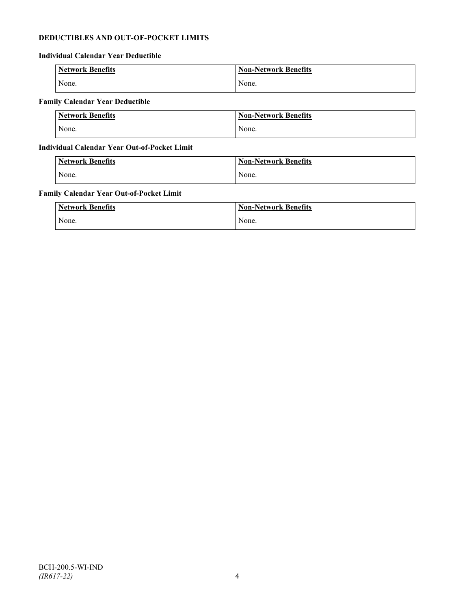# **DEDUCTIBLES AND OUT-OF-POCKET LIMITS**

# **Individual Calendar Year Deductible**

| <b>Network Benefits</b> | <b>Non-Network Benefits</b> |
|-------------------------|-----------------------------|
| None.                   | None.                       |

# **Family Calendar Year Deductible**

| <b>Network Benefits</b> | <b>Non-Network Benefits</b> |
|-------------------------|-----------------------------|
| None.                   | None.                       |

# **Individual Calendar Year Out-of-Pocket Limit**

| Network Benefits | <b>Non-Network Benefits</b> |
|------------------|-----------------------------|
| None.            | None.                       |

# **Family Calendar Year Out-of-Pocket Limit**

| <b>Network Benefits</b> | <b>Non-Network Benefits</b> |
|-------------------------|-----------------------------|
| None.                   | None.                       |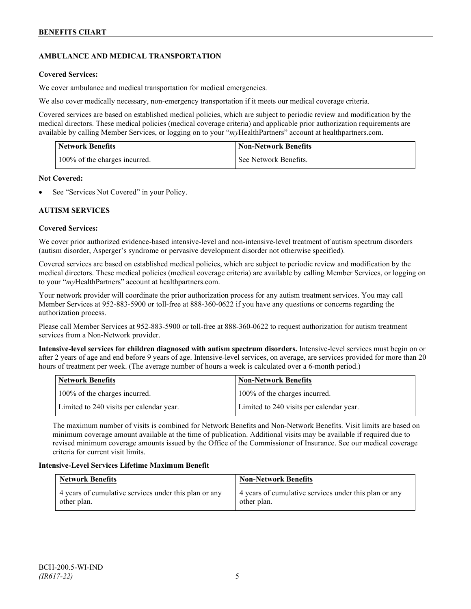# **AMBULANCE AND MEDICAL TRANSPORTATION**

# **Covered Services:**

We cover ambulance and medical transportation for medical emergencies.

We also cover medically necessary, non-emergency transportation if it meets our medical coverage criteria.

Covered services are based on established medical policies, which are subject to periodic review and modification by the medical directors. These medical policies (medical coverage criteria) and applicable prior authorization requirements are available by calling Member Services, or logging on to your "*my*HealthPartners" account a[t healthpartners.com.](http://www.healthpartners.com/)

| <b>Network Benefits</b>       | <b>Non-Network Benefits</b> |
|-------------------------------|-----------------------------|
| 100% of the charges incurred. | See Network Benefits.       |

# **Not Covered:**

See "Services Not Covered" in your Policy.

# **AUTISM SERVICES**

# **Covered Services:**

We cover prior authorized evidence-based intensive-level and non-intensive-level treatment of autism spectrum disorders (autism disorder, Asperger's syndrome or pervasive development disorder not otherwise specified).

Covered services are based on established medical policies, which are subject to periodic review and modification by the medical directors. These medical policies (medical coverage criteria) are available by calling Member Services, or logging on to your "*my*HealthPartners" account at [healthpartners.com.](http://www.healthpartners.com/)

Your network provider will coordinate the prior authorization process for any autism treatment services. You may call Member Services at 952-883-5900 or toll-free at 888-360-0622 if you have any questions or concerns regarding the authorization process.

Please call Member Services at 952-883-5900 or toll-free at 888-360-0622 to request authorization for autism treatment services from a Non-Network provider.

**Intensive-level services for children diagnosed with autism spectrum disorders.** Intensive-level services must begin on or after 2 years of age and end before 9 years of age. Intensive-level services, on average, are services provided for more than 20 hours of treatment per week. (The average number of hours a week is calculated over a 6-month period.)

| Network Benefits                         | <b>Non-Network Benefits</b>              |
|------------------------------------------|------------------------------------------|
| 100% of the charges incurred.            | 100% of the charges incurred.            |
| Limited to 240 visits per calendar year. | Limited to 240 visits per calendar year. |

The maximum number of visits is combined for Network Benefits and Non-Network Benefits. Visit limits are based on minimum coverage amount available at the time of publication. Additional visits may be available if required due to revised minimum coverage amounts issued by the Office of the Commissioner of Insurance. See our medical coverage criteria for current visit limits.

# **Intensive-Level Services Lifetime Maximum Benefit**

| <b>Network Benefits</b>                                              | <b>Non-Network Benefits</b>                                          |
|----------------------------------------------------------------------|----------------------------------------------------------------------|
| 4 years of cumulative services under this plan or any<br>other plan. | 4 years of cumulative services under this plan or any<br>other plan. |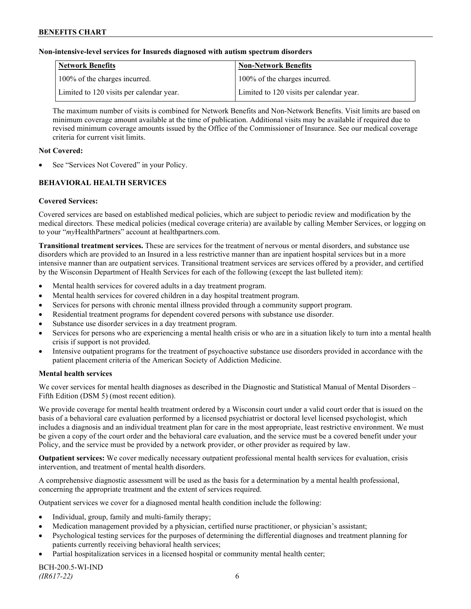### **Non-intensive-level services for Insureds diagnosed with autism spectrum disorders**

| Network Benefits                         | <b>Non-Network Benefits</b>              |
|------------------------------------------|------------------------------------------|
| 100% of the charges incurred.            | 100% of the charges incurred.            |
| Limited to 120 visits per calendar year. | Limited to 120 visits per calendar year. |

The maximum number of visits is combined for Network Benefits and Non-Network Benefits. Visit limits are based on minimum coverage amount available at the time of publication. Additional visits may be available if required due to revised minimum coverage amounts issued by the Office of the Commissioner of Insurance. See our medical coverage criteria for current visit limits.

### **Not Covered:**

See "Services Not Covered" in your Policy.

# **BEHAVIORAL HEALTH SERVICES**

#### **Covered Services:**

Covered services are based on established medical policies, which are subject to periodic review and modification by the medical directors. These medical policies (medical coverage criteria) are available by calling Member Services, or logging on to your "*my*HealthPartners" account at [healthpartners.com.](http://www.healthpartners.com/)

**Transitional treatment services.** These are services for the treatment of nervous or mental disorders, and substance use disorders which are provided to an Insured in a less restrictive manner than are inpatient hospital services but in a more intensive manner than are outpatient services. Transitional treatment services are services offered by a provider, and certified by the Wisconsin Department of Health Services for each of the following (except the last bulleted item):

- Mental health services for covered adults in a day treatment program.
- Mental health services for covered children in a day hospital treatment program.
- Services for persons with chronic mental illness provided through a community support program.
- Residential treatment programs for dependent covered persons with substance use disorder.
- Substance use disorder services in a day treatment program.
- Services for persons who are experiencing a mental health crisis or who are in a situation likely to turn into a mental health crisis if support is not provided.
- Intensive outpatient programs for the treatment of psychoactive substance use disorders provided in accordance with the patient placement criteria of the American Society of Addiction Medicine.

#### **Mental health services**

We cover services for mental health diagnoses as described in the Diagnostic and Statistical Manual of Mental Disorders – Fifth Edition (DSM 5) (most recent edition).

We provide coverage for mental health treatment ordered by a Wisconsin court under a valid court order that is issued on the basis of a behavioral care evaluation performed by a licensed psychiatrist or doctoral level licensed psychologist, which includes a diagnosis and an individual treatment plan for care in the most appropriate, least restrictive environment. We must be given a copy of the court order and the behavioral care evaluation, and the service must be a covered benefit under your Policy, and the service must be provided by a network provider, or other provider as required by law.

**Outpatient services:** We cover medically necessary outpatient professional mental health services for evaluation, crisis intervention, and treatment of mental health disorders.

A comprehensive diagnostic assessment will be used as the basis for a determination by a mental health professional, concerning the appropriate treatment and the extent of services required.

Outpatient services we cover for a diagnosed mental health condition include the following:

- Individual, group, family and multi-family therapy;
- Medication management provided by a physician, certified nurse practitioner, or physician's assistant;
- Psychological testing services for the purposes of determining the differential diagnoses and treatment planning for patients currently receiving behavioral health services;
- Partial hospitalization services in a licensed hospital or community mental health center;

BCH-200.5-WI-IND *(IR617-22)* 6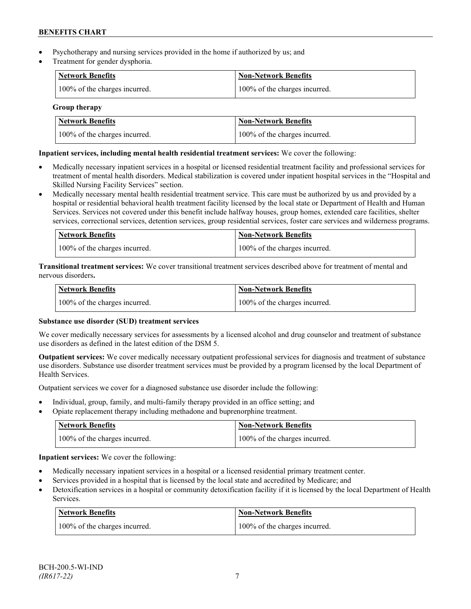- Psychotherapy and nursing services provided in the home if authorized by us; and
- Treatment for gender dysphoria.

| Network Benefits              | <b>Non-Network Benefits</b>   |
|-------------------------------|-------------------------------|
| 100% of the charges incurred. | 100% of the charges incurred. |

# **Group therapy**

| <b>Network Benefits</b>       | <b>Non-Network Benefits</b>   |
|-------------------------------|-------------------------------|
| 100% of the charges incurred. | 100% of the charges incurred. |

# **Inpatient services, including mental health residential treatment services:** We cover the following:

- Medically necessary inpatient services in a hospital or licensed residential treatment facility and professional services for treatment of mental health disorders. Medical stabilization is covered under inpatient hospital services in the "Hospital and Skilled Nursing Facility Services" section.
- Medically necessary mental health residential treatment service. This care must be authorized by us and provided by a hospital or residential behavioral health treatment facility licensed by the local state or Department of Health and Human Services. Services not covered under this benefit include halfway houses, group homes, extended care facilities, shelter services, correctional services, detention services, group residential services, foster care services and wilderness programs.

| Network Benefits              | Non-Network Benefits          |
|-------------------------------|-------------------------------|
| 100% of the charges incurred. | 100% of the charges incurred. |

**Transitional treatment services:** We cover transitional treatment services described above for treatment of mental and nervous disorders**.**

| <b>Network Benefits</b>       | Non-Network Benefits          |
|-------------------------------|-------------------------------|
| 100% of the charges incurred. | 100% of the charges incurred. |

# **Substance use disorder (SUD) treatment services**

We cover medically necessary services for assessments by a licensed alcohol and drug counselor and treatment of substance use disorders as defined in the latest edition of the DSM 5.

**Outpatient services:** We cover medically necessary outpatient professional services for diagnosis and treatment of substance use disorders. Substance use disorder treatment services must be provided by a program licensed by the local Department of Health Services.

Outpatient services we cover for a diagnosed substance use disorder include the following:

- Individual, group, family, and multi-family therapy provided in an office setting; and
- Opiate replacement therapy including methadone and buprenorphine treatment.

| <b>Network Benefits</b>       | <b>Non-Network Benefits</b>   |
|-------------------------------|-------------------------------|
| 100% of the charges incurred. | 100% of the charges incurred. |

**Inpatient services:** We cover the following:

- Medically necessary inpatient services in a hospital or a licensed residential primary treatment center.
- Services provided in a hospital that is licensed by the local state and accredited by Medicare; and
- Detoxification services in a hospital or community detoxification facility if it is licensed by the local Department of Health Services.

| Network Benefits              | <b>Non-Network Benefits</b>   |
|-------------------------------|-------------------------------|
| 100% of the charges incurred. | 100% of the charges incurred. |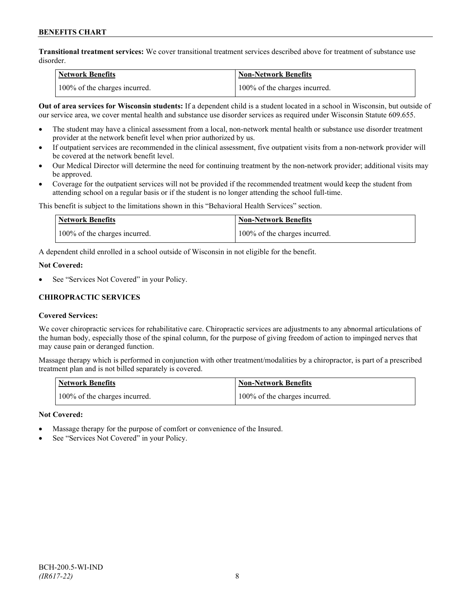**Transitional treatment services:** We cover transitional treatment services described above for treatment of substance use disorder.

| Network Benefits              | <b>Non-Network Benefits</b>   |
|-------------------------------|-------------------------------|
| 100% of the charges incurred. | 100% of the charges incurred. |

**Out of area services for Wisconsin students:** If a dependent child is a student located in a school in Wisconsin, but outside of our service area, we cover mental health and substance use disorder services as required under Wisconsin Statute 609.655.

- The student may have a clinical assessment from a local, non-network mental health or substance use disorder treatment provider at the network benefit level when prior authorized by us.
- If outpatient services are recommended in the clinical assessment, five outpatient visits from a non-network provider will be covered at the network benefit level.
- Our Medical Director will determine the need for continuing treatment by the non-network provider; additional visits may be approved.
- Coverage for the outpatient services will not be provided if the recommended treatment would keep the student from attending school on a regular basis or if the student is no longer attending the school full-time.

This benefit is subject to the limitations shown in this "Behavioral Health Services" section.

| Network Benefits              | <b>Non-Network Benefits</b>   |
|-------------------------------|-------------------------------|
| 100% of the charges incurred. | 100% of the charges incurred. |

A dependent child enrolled in a school outside of Wisconsin in not eligible for the benefit.

#### **Not Covered:**

See "Services Not Covered" in your Policy.

# **CHIROPRACTIC SERVICES**

#### **Covered Services:**

We cover chiropractic services for rehabilitative care. Chiropractic services are adjustments to any abnormal articulations of the human body, especially those of the spinal column, for the purpose of giving freedom of action to impinged nerves that may cause pain or deranged function.

Massage therapy which is performed in conjunction with other treatment/modalities by a chiropractor, is part of a prescribed treatment plan and is not billed separately is covered.

| <b>Network Benefits</b>       | 'Non-Network Benefits         |
|-------------------------------|-------------------------------|
| 100% of the charges incurred. | 100% of the charges incurred. |

#### **Not Covered:**

- Massage therapy for the purpose of comfort or convenience of the Insured.
- See "Services Not Covered" in your Policy.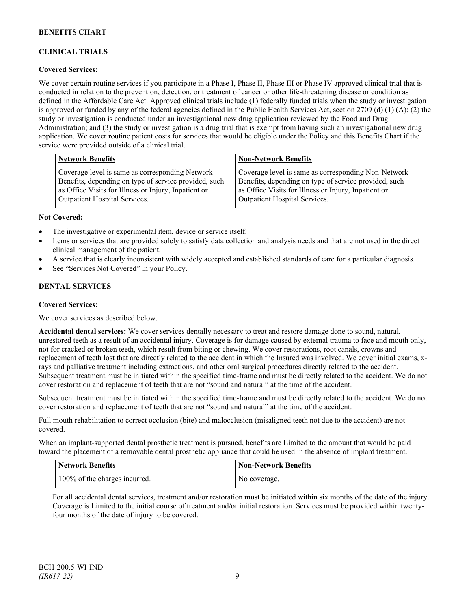# **CLINICAL TRIALS**

# **Covered Services:**

We cover certain routine services if you participate in a Phase I, Phase II, Phase III or Phase IV approved clinical trial that is conducted in relation to the prevention, detection, or treatment of cancer or other life-threatening disease or condition as defined in the Affordable Care Act. Approved clinical trials include (1) federally funded trials when the study or investigation is approved or funded by any of the federal agencies defined in the Public Health Services Act, section 2709 (d) (1) (A); (2) the study or investigation is conducted under an investigational new drug application reviewed by the Food and Drug Administration; and (3) the study or investigation is a drug trial that is exempt from having such an investigational new drug application. We cover routine patient costs for services that would be eligible under the Policy and this Benefits Chart if the service were provided outside of a clinical trial.

| <b>Network Benefits</b>                               | <b>Non-Network Benefits</b>                           |
|-------------------------------------------------------|-------------------------------------------------------|
| Coverage level is same as corresponding Network       | Coverage level is same as corresponding Non-Network   |
| Benefits, depending on type of service provided, such | Benefits, depending on type of service provided, such |
| as Office Visits for Illness or Injury, Inpatient or  | as Office Visits for Illness or Injury, Inpatient or  |
| <b>Outpatient Hospital Services.</b>                  | Outpatient Hospital Services.                         |

#### **Not Covered:**

- The investigative or experimental item, device or service itself.
- Items or services that are provided solely to satisfy data collection and analysis needs and that are not used in the direct clinical management of the patient.
- A service that is clearly inconsistent with widely accepted and established standards of care for a particular diagnosis.
- See "Services Not Covered" in your Policy.

# **DENTAL SERVICES**

#### **Covered Services:**

We cover services as described below.

**Accidental dental services:** We cover services dentally necessary to treat and restore damage done to sound, natural, unrestored teeth as a result of an accidental injury. Coverage is for damage caused by external trauma to face and mouth only, not for cracked or broken teeth, which result from biting or chewing. We cover restorations, root canals, crowns and replacement of teeth lost that are directly related to the accident in which the Insured was involved. We cover initial exams, xrays and palliative treatment including extractions, and other oral surgical procedures directly related to the accident. Subsequent treatment must be initiated within the specified time-frame and must be directly related to the accident. We do not cover restoration and replacement of teeth that are not "sound and natural" at the time of the accident.

Subsequent treatment must be initiated within the specified time-frame and must be directly related to the accident. We do not cover restoration and replacement of teeth that are not "sound and natural" at the time of the accident.

Full mouth rehabilitation to correct occlusion (bite) and malocclusion (misaligned teeth not due to the accident) are not covered.

When an implant-supported dental prosthetic treatment is pursued, benefits are Limited to the amount that would be paid toward the placement of a removable dental prosthetic appliance that could be used in the absence of implant treatment.

| <b>Network Benefits</b>       | <b>Non-Network Benefits</b> |
|-------------------------------|-----------------------------|
| 100% of the charges incurred. | No coverage.                |

For all accidental dental services, treatment and/or restoration must be initiated within six months of the date of the injury. Coverage is Limited to the initial course of treatment and/or initial restoration. Services must be provided within twentyfour months of the date of injury to be covered.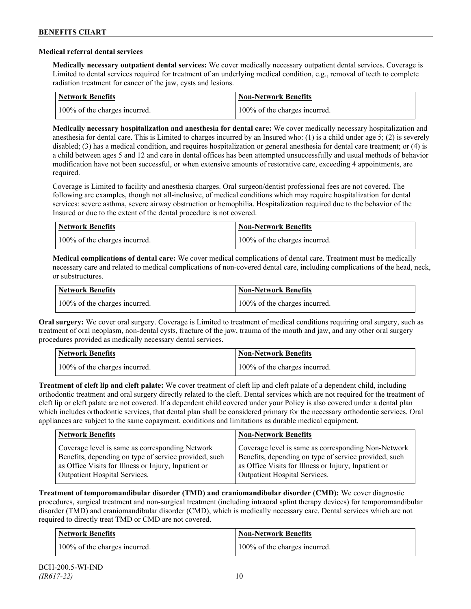### **Medical referral dental services**

**Medically necessary outpatient dental services:** We cover medically necessary outpatient dental services. Coverage is Limited to dental services required for treatment of an underlying medical condition, e.g., removal of teeth to complete radiation treatment for cancer of the jaw, cysts and lesions.

| Network Benefits              | <b>Non-Network Benefits</b>   |
|-------------------------------|-------------------------------|
| 100% of the charges incurred. | 100% of the charges incurred. |

**Medically necessary hospitalization and anesthesia for dental care:** We cover medically necessary hospitalization and anesthesia for dental care. This is Limited to charges incurred by an Insured who: (1) is a child under age 5; (2) is severely disabled; (3) has a medical condition, and requires hospitalization or general anesthesia for dental care treatment; or (4) is a child between ages 5 and 12 and care in dental offices has been attempted unsuccessfully and usual methods of behavior modification have not been successful, or when extensive amounts of restorative care, exceeding 4 appointments, are required.

Coverage is Limited to facility and anesthesia charges. Oral surgeon/dentist professional fees are not covered. The following are examples, though not all-inclusive, of medical conditions which may require hospitalization for dental services: severe asthma, severe airway obstruction or hemophilia. Hospitalization required due to the behavior of the Insured or due to the extent of the dental procedure is not covered.

| Network Benefits              | <b>Non-Network Benefits</b>   |
|-------------------------------|-------------------------------|
| 100% of the charges incurred. | 100% of the charges incurred. |

**Medical complications of dental care:** We cover medical complications of dental care. Treatment must be medically necessary care and related to medical complications of non-covered dental care, including complications of the head, neck, or substructures.

| Network Benefits              | <b>Non-Network Benefits</b>   |
|-------------------------------|-------------------------------|
| 100% of the charges incurred. | 100% of the charges incurred. |

**Oral surgery:** We cover oral surgery. Coverage is Limited to treatment of medical conditions requiring oral surgery, such as treatment of oral neoplasm, non-dental cysts, fracture of the jaw, trauma of the mouth and jaw, and any other oral surgery procedures provided as medically necessary dental services.

| <b>Network Benefits</b>       | <b>Non-Network Benefits</b>   |
|-------------------------------|-------------------------------|
| 100% of the charges incurred. | 100% of the charges incurred. |

**Treatment of cleft lip and cleft palate:** We cover treatment of cleft lip and cleft palate of a dependent child, including orthodontic treatment and oral surgery directly related to the cleft. Dental services which are not required for the treatment of cleft lip or cleft palate are not covered. If a dependent child covered under your Policy is also covered under a dental plan which includes orthodontic services, that dental plan shall be considered primary for the necessary orthodontic services. Oral appliances are subject to the same copayment, conditions and limitations as durable medical equipment.

| <b>Network Benefits</b>                               | <b>Non-Network Benefits</b>                           |
|-------------------------------------------------------|-------------------------------------------------------|
| Coverage level is same as corresponding Network       | Coverage level is same as corresponding Non-Network   |
| Benefits, depending on type of service provided, such | Benefits, depending on type of service provided, such |
| as Office Visits for Illness or Injury, Inpatient or  | as Office Visits for Illness or Injury, Inpatient or  |
| Outpatient Hospital Services.                         | Outpatient Hospital Services.                         |

**Treatment of temporomandibular disorder (TMD) and craniomandibular disorder (CMD):** We cover diagnostic procedures, surgical treatment and non-surgical treatment (including intraoral splint therapy devices) for temporomandibular disorder (TMD) and craniomandibular disorder (CMD), which is medically necessary care. Dental services which are not required to directly treat TMD or CMD are not covered.

| <b>Network Benefits</b>       | <b>Non-Network Benefits</b>   |
|-------------------------------|-------------------------------|
| 100% of the charges incurred. | 100% of the charges incurred. |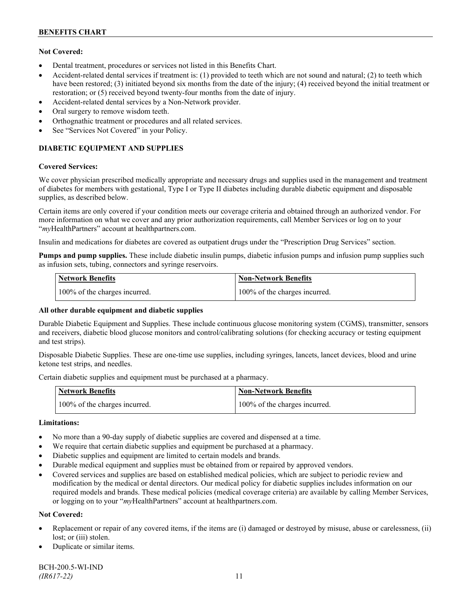# **Not Covered:**

- Dental treatment, procedures or services not listed in this Benefits Chart.
- Accident-related dental services if treatment is: (1) provided to teeth which are not sound and natural; (2) to teeth which have been restored; (3) initiated beyond six months from the date of the injury; (4) received beyond the initial treatment or restoration; or (5) received beyond twenty-four months from the date of injury.
- Accident-related dental services by a Non-Network provider.
- Oral surgery to remove wisdom teeth.
- Orthognathic treatment or procedures and all related services.
- See "Services Not Covered" in your Policy.

# **DIABETIC EQUIPMENT AND SUPPLIES**

#### **Covered Services:**

We cover physician prescribed medically appropriate and necessary drugs and supplies used in the management and treatment of diabetes for members with gestational, Type I or Type II diabetes including durable diabetic equipment and disposable supplies, as described below.

Certain items are only covered if your condition meets our coverage criteria and obtained through an authorized vendor. For more information on what we cover and any prior authorization requirements, call Member Services or log on to your "*my*HealthPartners" account at [healthpartners.com.](http://www.healthpartners.com/)

Insulin and medications for diabetes are covered as outpatient drugs under the "Prescription Drug Services" section.

**Pumps and pump supplies.** These include diabetic insulin pumps, diabetic infusion pumps and infusion pump supplies such as infusion sets, tubing, connectors and syringe reservoirs.

| <b>Network Benefits</b>       | <b>Non-Network Benefits</b>   |
|-------------------------------|-------------------------------|
| 100% of the charges incurred. | 100% of the charges incurred. |

# **All other durable equipment and diabetic supplies**

Durable Diabetic Equipment and Supplies. These include continuous glucose monitoring system (CGMS), transmitter, sensors and receivers, diabetic blood glucose monitors and control/calibrating solutions (for checking accuracy or testing equipment and test strips).

Disposable Diabetic Supplies. These are one-time use supplies, including syringes, lancets, lancet devices, blood and urine ketone test strips, and needles.

Certain diabetic supplies and equipment must be purchased at a pharmacy.

| <b>Network Benefits</b>       | <b>Non-Network Benefits</b>   |
|-------------------------------|-------------------------------|
| 100% of the charges incurred. | 100% of the charges incurred. |

# **Limitations:**

- No more than a 90-day supply of diabetic supplies are covered and dispensed at a time.
- We require that certain diabetic supplies and equipment be purchased at a pharmacy.
- Diabetic supplies and equipment are limited to certain models and brands.
- Durable medical equipment and supplies must be obtained from or repaired by approved vendors.
- Covered services and supplies are based on established medical policies, which are subject to periodic review and modification by the medical or dental directors. Our medical policy for diabetic supplies includes information on our required models and brands. These medical policies (medical coverage criteria) are available by calling Member Services, or logging on to your "*my*HealthPartners" account at healthpartners.com.

# **Not Covered:**

- Replacement or repair of any covered items, if the items are (i) damaged or destroyed by misuse, abuse or carelessness, (ii) lost; or (iii) stolen.
- Duplicate or similar items.

BCH-200.5-WI-IND *(IR617-22)* 11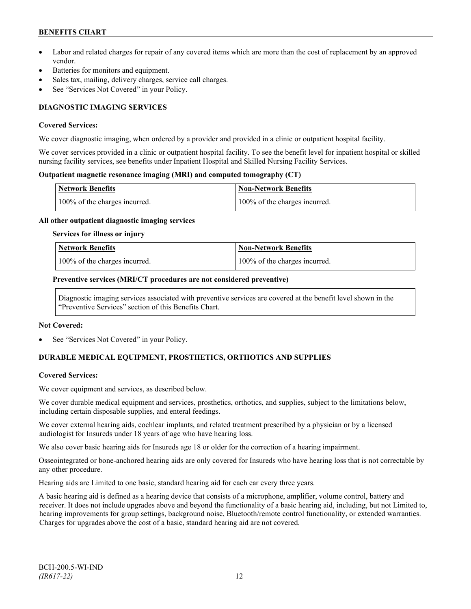- Labor and related charges for repair of any covered items which are more than the cost of replacement by an approved vendor.
- Batteries for monitors and equipment.
- Sales tax, mailing, delivery charges, service call charges.
- See "Services Not Covered" in your Policy.

# **DIAGNOSTIC IMAGING SERVICES**

#### **Covered Services:**

We cover diagnostic imaging, when ordered by a provider and provided in a clinic or outpatient hospital facility.

We cover services provided in a clinic or outpatient hospital facility. To see the benefit level for inpatient hospital or skilled nursing facility services, see benefits under Inpatient Hospital and Skilled Nursing Facility Services.

### **Outpatient magnetic resonance imaging (MRI) and computed tomography (CT)**

| <b>Network Benefits</b>       | <b>Non-Network Benefits</b>   |
|-------------------------------|-------------------------------|
| 100% of the charges incurred. | 100% of the charges incurred. |

#### **All other outpatient diagnostic imaging services**

#### **Services for illness or injury**

| <b>Network Benefits</b>       | <b>Non-Network Benefits</b>      |
|-------------------------------|----------------------------------|
| 100% of the charges incurred. | $100\%$ of the charges incurred. |

#### **Preventive services (MRI/CT procedures are not considered preventive)**

Diagnostic imaging services associated with preventive services are covered at the benefit level shown in the "Preventive Services" section of this Benefits Chart.

#### **Not Covered:**

See "Services Not Covered" in your Policy.

# **DURABLE MEDICAL EQUIPMENT, PROSTHETICS, ORTHOTICS AND SUPPLIES**

# **Covered Services:**

We cover equipment and services, as described below.

We cover durable medical equipment and services, prosthetics, orthotics, and supplies, subject to the limitations below, including certain disposable supplies, and enteral feedings.

We cover external hearing aids, cochlear implants, and related treatment prescribed by a physician or by a licensed audiologist for Insureds under 18 years of age who have hearing loss.

We also cover basic hearing aids for Insureds age 18 or older for the correction of a hearing impairment.

Osseointegrated or bone-anchored hearing aids are only covered for Insureds who have hearing loss that is not correctable by any other procedure.

Hearing aids are Limited to one basic, standard hearing aid for each ear every three years.

A basic hearing aid is defined as a hearing device that consists of a microphone, amplifier, volume control, battery and receiver. It does not include upgrades above and beyond the functionality of a basic hearing aid, including, but not Limited to, hearing improvements for group settings, background noise, Bluetooth/remote control functionality, or extended warranties. Charges for upgrades above the cost of a basic, standard hearing aid are not covered.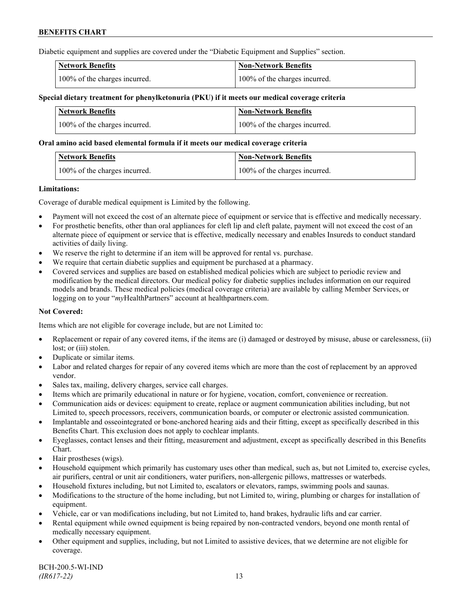Diabetic equipment and supplies are covered under the "Diabetic Equipment and Supplies" section.

| <b>Network Benefits</b>       | <b>Non-Network Benefits</b>   |
|-------------------------------|-------------------------------|
| 100% of the charges incurred. | 100% of the charges incurred. |

### **Special dietary treatment for phenylketonuria (PKU) if it meets our medical coverage criteria**

| <b>Network Benefits</b>       | <b>Non-Network Benefits</b>   |
|-------------------------------|-------------------------------|
| 100% of the charges incurred. | 100% of the charges incurred. |

#### **Oral amino acid based elemental formula if it meets our medical coverage criteria**

| <b>Network Benefits</b>       | <b>Non-Network Benefits</b>   |
|-------------------------------|-------------------------------|
| 100% of the charges incurred. | 100% of the charges incurred. |

#### **Limitations:**

Coverage of durable medical equipment is Limited by the following.

- Payment will not exceed the cost of an alternate piece of equipment or service that is effective and medically necessary.
- For prosthetic benefits, other than oral appliances for cleft lip and cleft palate, payment will not exceed the cost of an alternate piece of equipment or service that is effective, medically necessary and enables Insureds to conduct standard activities of daily living.
- We reserve the right to determine if an item will be approved for rental vs. purchase.
- We require that certain diabetic supplies and equipment be purchased at a pharmacy.
- Covered services and supplies are based on established medical policies which are subject to periodic review and modification by the medical directors. Our medical policy for diabetic supplies includes information on our required models and brands. These medical policies (medical coverage criteria) are available by calling Member Services, or logging on to your "*my*HealthPartners" account at [healthpartners.com.](http://www.healthpartners.com/)

# **Not Covered:**

Items which are not eligible for coverage include, but are not Limited to:

- Replacement or repair of any covered items, if the items are (i) damaged or destroyed by misuse, abuse or carelessness, (ii) lost; or (iii) stolen.
- Duplicate or similar items.
- Labor and related charges for repair of any covered items which are more than the cost of replacement by an approved vendor.
- Sales tax, mailing, delivery charges, service call charges.
- Items which are primarily educational in nature or for hygiene, vocation, comfort, convenience or recreation.
- Communication aids or devices: equipment to create, replace or augment communication abilities including, but not Limited to, speech processors, receivers, communication boards, or computer or electronic assisted communication.
- Implantable and osseointegrated or bone-anchored hearing aids and their fitting, except as specifically described in this Benefits Chart. This exclusion does not apply to cochlear implants.
- Eyeglasses, contact lenses and their fitting, measurement and adjustment, except as specifically described in this Benefits Chart.
- Hair prostheses (wigs).
- Household equipment which primarily has customary uses other than medical, such as, but not Limited to, exercise cycles, air purifiers, central or unit air conditioners, water purifiers, non-allergenic pillows, mattresses or waterbeds.
- Household fixtures including, but not Limited to, escalators or elevators, ramps, swimming pools and saunas.
- Modifications to the structure of the home including, but not Limited to, wiring, plumbing or charges for installation of equipment.
- Vehicle, car or van modifications including, but not Limited to, hand brakes, hydraulic lifts and car carrier.
- Rental equipment while owned equipment is being repaired by non-contracted vendors, beyond one month rental of medically necessary equipment.
- Other equipment and supplies, including, but not Limited to assistive devices, that we determine are not eligible for coverage.

BCH-200.5-WI-IND *(IR617-22)* 13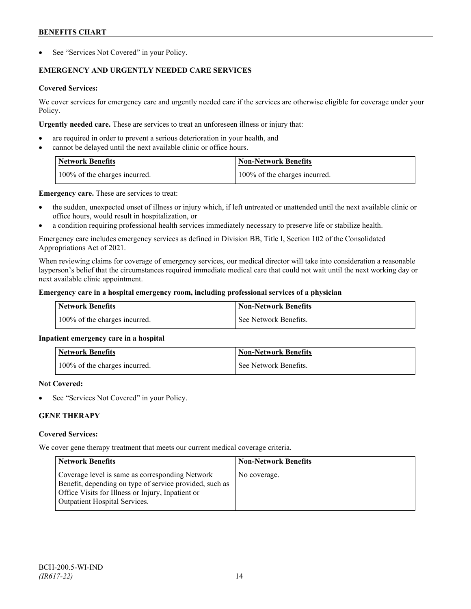See "Services Not Covered" in your Policy.

# **EMERGENCY AND URGENTLY NEEDED CARE SERVICES**

# **Covered Services:**

We cover services for emergency care and urgently needed care if the services are otherwise eligible for coverage under your Policy.

**Urgently needed care.** These are services to treat an unforeseen illness or injury that:

- are required in order to prevent a serious deterioration in your health, and
- cannot be delayed until the next available clinic or office hours.

| <b>Network Benefits</b>       | <b>Non-Network Benefits</b>   |
|-------------------------------|-------------------------------|
| 100% of the charges incurred. | 100% of the charges incurred. |

**Emergency care.** These are services to treat:

- the sudden, unexpected onset of illness or injury which, if left untreated or unattended until the next available clinic or office hours, would result in hospitalization, or
- a condition requiring professional health services immediately necessary to preserve life or stabilize health.

Emergency care includes emergency services as defined in Division BB, Title I, Section 102 of the Consolidated Appropriations Act of 2021.

When reviewing claims for coverage of emergency services, our medical director will take into consideration a reasonable layperson's belief that the circumstances required immediate medical care that could not wait until the next working day or next available clinic appointment.

# **Emergency care in a hospital emergency room, including professional services of a physician**

| <b>Network Benefits</b>       | Non-Network Benefits    |
|-------------------------------|-------------------------|
| 100% of the charges incurred. | l See Network Benefits. |

# **Inpatient emergency care in a hospital**

| <b>Network Benefits</b>       | <b>Non-Network Benefits</b> |
|-------------------------------|-----------------------------|
| 100% of the charges incurred. | See Network Benefits.       |

# **Not Covered:**

See "Services Not Covered" in your Policy.

# **GENE THERAPY**

# **Covered Services:**

We cover gene therapy treatment that meets our current medical coverage criteria.

| <b>Network Benefits</b>                                                                                                                                                                                 | <b>Non-Network Benefits</b> |
|---------------------------------------------------------------------------------------------------------------------------------------------------------------------------------------------------------|-----------------------------|
| Coverage level is same as corresponding Network<br>Benefit, depending on type of service provided, such as<br>Office Visits for Illness or Injury, Inpatient or<br><b>Outpatient Hospital Services.</b> | No coverage.                |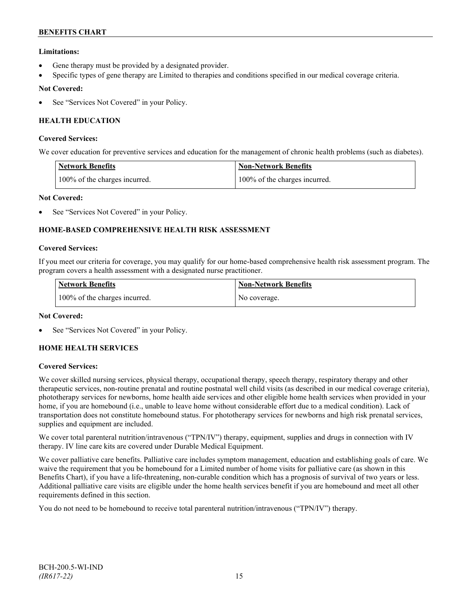# **Limitations:**

- Gene therapy must be provided by a designated provider.
- Specific types of gene therapy are Limited to therapies and conditions specified in our medical coverage criteria.

# **Not Covered:**

See "Services Not Covered" in your Policy.

# **HEALTH EDUCATION**

### **Covered Services:**

We cover education for preventive services and education for the management of chronic health problems (such as diabetes).

| <b>Network Benefits</b>       | <b>Non-Network Benefits</b>   |
|-------------------------------|-------------------------------|
| 100% of the charges incurred. | 100% of the charges incurred. |

# **Not Covered:**

See "Services Not Covered" in your Policy.

# **HOME-BASED COMPREHENSIVE HEALTH RISK ASSESSMENT**

#### **Covered Services:**

If you meet our criteria for coverage, you may qualify for our home-based comprehensive health risk assessment program. The program covers a health assessment with a designated nurse practitioner.

| <b>Network Benefits</b>       | <b>Non-Network Benefits</b> |
|-------------------------------|-----------------------------|
| 100% of the charges incurred. | No coverage.                |

# **Not Covered:**

See "Services Not Covered" in your Policy.

# **HOME HEALTH SERVICES**

# **Covered Services:**

We cover skilled nursing services, physical therapy, occupational therapy, speech therapy, respiratory therapy and other therapeutic services, non-routine prenatal and routine postnatal well child visits (as described in our medical coverage criteria), phototherapy services for newborns, home health aide services and other eligible home health services when provided in your home, if you are homebound (i.e., unable to leave home without considerable effort due to a medical condition). Lack of transportation does not constitute homebound status. For phototherapy services for newborns and high risk prenatal services, supplies and equipment are included.

We cover total parenteral nutrition/intravenous ("TPN/IV") therapy, equipment, supplies and drugs in connection with IV therapy. IV line care kits are covered under Durable Medical Equipment.

We cover palliative care benefits. Palliative care includes symptom management, education and establishing goals of care. We waive the requirement that you be homebound for a Limited number of home visits for palliative care (as shown in this Benefits Chart), if you have a life-threatening, non-curable condition which has a prognosis of survival of two years or less. Additional palliative care visits are eligible under the home health services benefit if you are homebound and meet all other requirements defined in this section.

You do not need to be homebound to receive total parenteral nutrition/intravenous ("TPN/IV") therapy.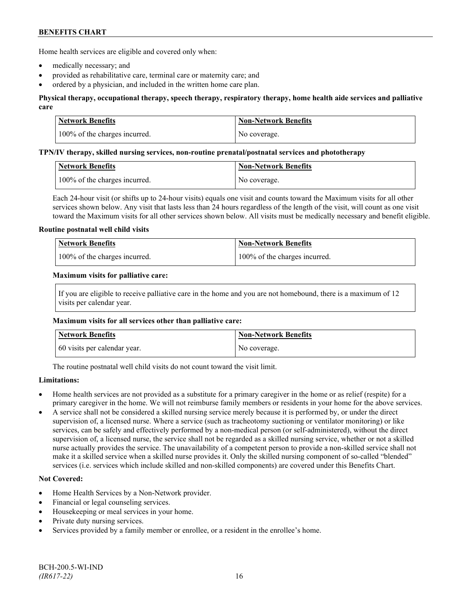Home health services are eligible and covered only when:

- medically necessary; and
- provided as rehabilitative care, terminal care or maternity care; and
- ordered by a physician, and included in the written home care plan.

# **Physical therapy, occupational therapy, speech therapy, respiratory therapy, home health aide services and palliative care**

| Network Benefits              | <b>Non-Network Benefits</b> |
|-------------------------------|-----------------------------|
| 100% of the charges incurred. | No coverage.                |

#### **TPN/IV therapy, skilled nursing services, non-routine prenatal/postnatal services and phototherapy**

| Network Benefits              | Non-Network Benefits |
|-------------------------------|----------------------|
| 100% of the charges incurred. | No coverage.         |

Each 24-hour visit (or shifts up to 24-hour visits) equals one visit and counts toward the Maximum visits for all other services shown below. Any visit that lasts less than 24 hours regardless of the length of the visit, will count as one visit toward the Maximum visits for all other services shown below. All visits must be medically necessary and benefit eligible.

#### **Routine postnatal well child visits**

| <b>Network Benefits</b>       | Non-Network Benefits          |
|-------------------------------|-------------------------------|
| 100% of the charges incurred. | 100% of the charges incurred. |

#### **Maximum visits for palliative care:**

If you are eligible to receive palliative care in the home and you are not homebound, there is a maximum of 12 visits per calendar year.

#### **Maximum visits for all services other than palliative care:**

| Network Benefits             | <b>Non-Network Benefits</b> |
|------------------------------|-----------------------------|
| 60 visits per calendar year. | No coverage.                |

The routine postnatal well child visits do not count toward the visit limit.

# **Limitations:**

- Home health services are not provided as a substitute for a primary caregiver in the home or as relief (respite) for a primary caregiver in the home. We will not reimburse family members or residents in your home for the above services.
- A service shall not be considered a skilled nursing service merely because it is performed by, or under the direct supervision of, a licensed nurse. Where a service (such as tracheotomy suctioning or ventilator monitoring) or like services, can be safely and effectively performed by a non-medical person (or self-administered), without the direct supervision of, a licensed nurse, the service shall not be regarded as a skilled nursing service, whether or not a skilled nurse actually provides the service. The unavailability of a competent person to provide a non-skilled service shall not make it a skilled service when a skilled nurse provides it. Only the skilled nursing component of so-called "blended" services (i.e. services which include skilled and non-skilled components) are covered under this Benefits Chart.

# **Not Covered:**

- Home Health Services by a Non-Network provider.
- Financial or legal counseling services.
- Housekeeping or meal services in your home.
- Private duty nursing services.
- Services provided by a family member or enrollee, or a resident in the enrollee's home.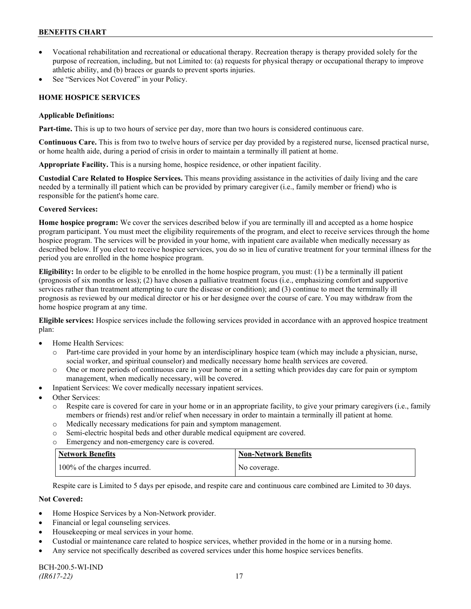- Vocational rehabilitation and recreational or educational therapy. Recreation therapy is therapy provided solely for the purpose of recreation, including, but not Limited to: (a) requests for physical therapy or occupational therapy to improve athletic ability, and (b) braces or guards to prevent sports injuries.
- See "Services Not Covered" in your Policy.

# **HOME HOSPICE SERVICES**

### **Applicable Definitions:**

**Part-time.** This is up to two hours of service per day, more than two hours is considered continuous care.

**Continuous Care.** This is from two to twelve hours of service per day provided by a registered nurse, licensed practical nurse, or home health aide, during a period of crisis in order to maintain a terminally ill patient at home.

**Appropriate Facility.** This is a nursing home, hospice residence, or other inpatient facility.

**Custodial Care Related to Hospice Services.** This means providing assistance in the activities of daily living and the care needed by a terminally ill patient which can be provided by primary caregiver (i.e., family member or friend) who is responsible for the patient's home care.

# **Covered Services:**

**Home hospice program:** We cover the services described below if you are terminally ill and accepted as a home hospice program participant. You must meet the eligibility requirements of the program, and elect to receive services through the home hospice program. The services will be provided in your home, with inpatient care available when medically necessary as described below. If you elect to receive hospice services, you do so in lieu of curative treatment for your terminal illness for the period you are enrolled in the home hospice program.

**Eligibility:** In order to be eligible to be enrolled in the home hospice program, you must: (1) be a terminally ill patient (prognosis of six months or less); (2) have chosen a palliative treatment focus (i.e., emphasizing comfort and supportive services rather than treatment attempting to cure the disease or condition); and (3) continue to meet the terminally ill prognosis as reviewed by our medical director or his or her designee over the course of care. You may withdraw from the home hospice program at any time.

**Eligible services:** Hospice services include the following services provided in accordance with an approved hospice treatment plan:

- Home Health Services:
	- o Part-time care provided in your home by an interdisciplinary hospice team (which may include a physician, nurse, social worker, and spiritual counselor) and medically necessary home health services are covered.
	- o One or more periods of continuous care in your home or in a setting which provides day care for pain or symptom management, when medically necessary, will be covered.
- Inpatient Services: We cover medically necessary inpatient services.
- Other Services:
	- o Respite care is covered for care in your home or in an appropriate facility, to give your primary caregivers (i.e., family members or friends) rest and/or relief when necessary in order to maintain a terminally ill patient at home*.*
	- o Medically necessary medications for pain and symptom management.
	- o Semi-electric hospital beds and other durable medical equipment are covered.
	- o Emergency and non-emergency care is covered.

| Network Benefits              | <b>Non-Network Benefits</b> |
|-------------------------------|-----------------------------|
| 100% of the charges incurred. | No coverage.                |

Respite care is Limited to 5 days per episode, and respite care and continuous care combined are Limited to 30 days.

# **Not Covered:**

- Home Hospice Services by a Non-Network provider.
- Financial or legal counseling services.
- Housekeeping or meal services in your home.
- Custodial or maintenance care related to hospice services, whether provided in the home or in a nursing home.
- Any service not specifically described as covered services under this home hospice services benefits.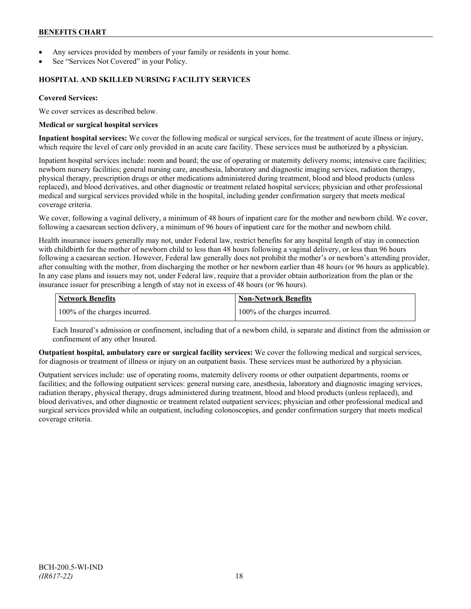- Any services provided by members of your family or residents in your home.
- See "Services Not Covered" in your Policy.

### **HOSPITAL AND SKILLED NURSING FACILITY SERVICES**

### **Covered Services:**

We cover services as described below.

#### **Medical or surgical hospital services**

**Inpatient hospital services:** We cover the following medical or surgical services, for the treatment of acute illness or injury, which require the level of care only provided in an acute care facility. These services must be authorized by a physician.

Inpatient hospital services include: room and board; the use of operating or maternity delivery rooms; intensive care facilities; newborn nursery facilities; general nursing care, anesthesia, laboratory and diagnostic imaging services, radiation therapy, physical therapy, prescription drugs or other medications administered during treatment, blood and blood products (unless replaced), and blood derivatives, and other diagnostic or treatment related hospital services; physician and other professional medical and surgical services provided while in the hospital, including gender confirmation surgery that meets medical coverage criteria.

We cover, following a vaginal delivery, a minimum of 48 hours of inpatient care for the mother and newborn child. We cover, following a caesarean section delivery, a minimum of 96 hours of inpatient care for the mother and newborn child.

Health insurance issuers generally may not, under Federal law, restrict benefits for any hospital length of stay in connection with childbirth for the mother of newborn child to less than 48 hours following a vaginal delivery, or less than 96 hours following a caesarean section. However, Federal law generally does not prohibit the mother's or newborn's attending provider, after consulting with the mother, from discharging the mother or her newborn earlier than 48 hours (or 96 hours as applicable). In any case plans and issuers may not, under Federal law, require that a provider obtain authorization from the plan or the insurance issuer for prescribing a length of stay not in excess of 48 hours (or 96 hours).

| <b>Network Benefits</b>       | Non-Network Benefits          |
|-------------------------------|-------------------------------|
| 100% of the charges incurred. | 100% of the charges incurred. |

Each Insured's admission or confinement, including that of a newborn child, is separate and distinct from the admission or confinement of any other Insured.

**Outpatient hospital, ambulatory care or surgical facility services:** We cover the following medical and surgical services, for diagnosis or treatment of illness or injury on an outpatient basis. These services must be authorized by a physician.

Outpatient services include: use of operating rooms, maternity delivery rooms or other outpatient departments, rooms or facilities; and the following outpatient services: general nursing care, anesthesia, laboratory and diagnostic imaging services, radiation therapy, physical therapy, drugs administered during treatment, blood and blood products (unless replaced), and blood derivatives, and other diagnostic or treatment related outpatient services; physician and other professional medical and surgical services provided while an outpatient, including colonoscopies, and gender confirmation surgery that meets medical coverage criteria.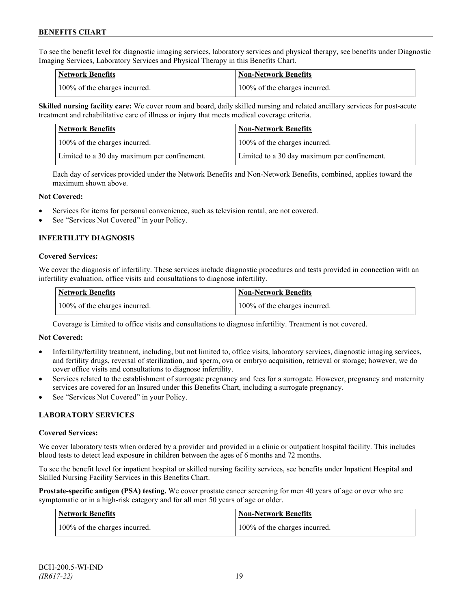To see the benefit level for diagnostic imaging services, laboratory services and physical therapy, see benefits under Diagnostic Imaging Services, Laboratory Services and Physical Therapy in this Benefits Chart.

| <b>Network Benefits</b>       | <b>Non-Network Benefits</b>   |
|-------------------------------|-------------------------------|
| 100% of the charges incurred. | 100% of the charges incurred. |

**Skilled nursing facility care:** We cover room and board, daily skilled nursing and related ancillary services for post-acute treatment and rehabilitative care of illness or injury that meets medical coverage criteria.

| Network Benefits                             | <b>Non-Network Benefits</b>                  |
|----------------------------------------------|----------------------------------------------|
| 100% of the charges incurred.                | 100% of the charges incurred.                |
| Limited to a 30 day maximum per confinement. | Limited to a 30 day maximum per confinement. |

Each day of services provided under the Network Benefits and Non-Network Benefits, combined, applies toward the maximum shown above.

#### **Not Covered:**

- Services for items for personal convenience, such as television rental, are not covered.
- See "Services Not Covered" in your Policy.

# **INFERTILITY DIAGNOSIS**

#### **Covered Services:**

We cover the diagnosis of infertility. These services include diagnostic procedures and tests provided in connection with an infertility evaluation, office visits and consultations to diagnose infertility.

| <b>Network Benefits</b>       | <b>Non-Network Benefits</b>   |
|-------------------------------|-------------------------------|
| 100% of the charges incurred. | 100% of the charges incurred. |

Coverage is Limited to office visits and consultations to diagnose infertility. Treatment is not covered.

#### **Not Covered:**

- Infertility/fertility treatment, including, but not limited to, office visits, laboratory services, diagnostic imaging services, and fertility drugs, reversal of sterilization, and sperm, ova or embryo acquisition, retrieval or storage; however, we do cover office visits and consultations to diagnose infertility.
- Services related to the establishment of surrogate pregnancy and fees for a surrogate. However, pregnancy and maternity services are covered for an Insured under this Benefits Chart, including a surrogate pregnancy.
- See "Services Not Covered" in your Policy.

# **LABORATORY SERVICES**

#### **Covered Services:**

We cover laboratory tests when ordered by a provider and provided in a clinic or outpatient hospital facility. This includes blood tests to detect lead exposure in children between the ages of 6 months and 72 months.

To see the benefit level for inpatient hospital or skilled nursing facility services, see benefits under Inpatient Hospital and Skilled Nursing Facility Services in this Benefits Chart.

**Prostate-specific antigen (PSA) testing.** We cover prostate cancer screening for men 40 years of age or over who are symptomatic or in a high-risk category and for all men 50 years of age or older.

| <b>Network Benefits</b>       | <b>Non-Network Benefits</b>   |
|-------------------------------|-------------------------------|
| 100% of the charges incurred. | 100% of the charges incurred. |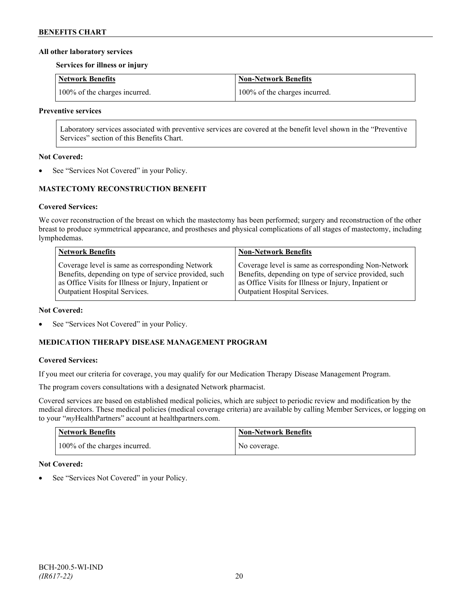### **All other laboratory services**

**Services for illness or injury**

| Network Benefits              | Non-Network Benefits          |
|-------------------------------|-------------------------------|
| 100% of the charges incurred. | 100% of the charges incurred. |

#### **Preventive services**

Laboratory services associated with preventive services are covered at the benefit level shown in the "Preventive Services" section of this Benefits Chart.

### **Not Covered:**

See "Services Not Covered" in your Policy.

# **MASTECTOMY RECONSTRUCTION BENEFIT**

# **Covered Services:**

We cover reconstruction of the breast on which the mastectomy has been performed; surgery and reconstruction of the other breast to produce symmetrical appearance, and prostheses and physical complications of all stages of mastectomy, including lymphedemas.

| <b>Network Benefits</b>                               | <b>Non-Network Benefits</b>                           |
|-------------------------------------------------------|-------------------------------------------------------|
| Coverage level is same as corresponding Network       | Coverage level is same as corresponding Non-Network   |
| Benefits, depending on type of service provided, such | Benefits, depending on type of service provided, such |
| as Office Visits for Illness or Injury, Inpatient or  | as Office Visits for Illness or Injury, Inpatient or  |
| Outpatient Hospital Services.                         | Outpatient Hospital Services.                         |

#### **Not Covered:**

See "Services Not Covered" in your Policy.

# **MEDICATION THERAPY DISEASE MANAGEMENT PROGRAM**

# **Covered Services:**

If you meet our criteria for coverage, you may qualify for our Medication Therapy Disease Management Program.

The program covers consultations with a designated Network pharmacist.

Covered services are based on established medical policies, which are subject to periodic review and modification by the medical directors. These medical policies (medical coverage criteria) are available by calling Member Services, or logging on to your "*my*HealthPartners" account at [healthpartners.com.](http://www.healthpartners.com/)

| <b>Network Benefits</b>       | <b>Non-Network Benefits</b> |
|-------------------------------|-----------------------------|
| 100% of the charges incurred. | No coverage.                |

# **Not Covered:**

See "Services Not Covered" in your Policy.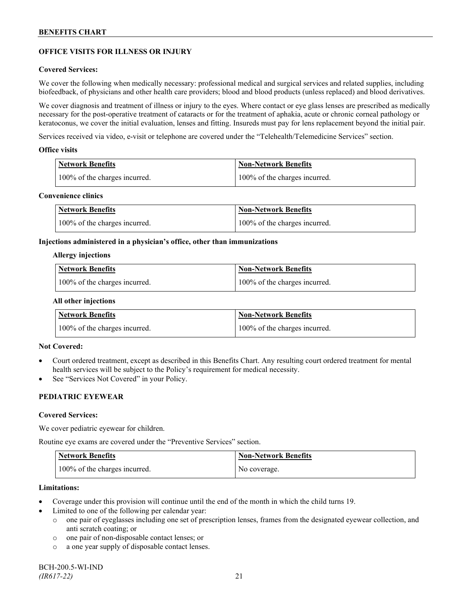# **OFFICE VISITS FOR ILLNESS OR INJURY**

### **Covered Services:**

We cover the following when medically necessary: professional medical and surgical services and related supplies, including biofeedback, of physicians and other health care providers; blood and blood products (unless replaced) and blood derivatives.

We cover diagnosis and treatment of illness or injury to the eyes. Where contact or eye glass lenses are prescribed as medically necessary for the post-operative treatment of cataracts or for the treatment of aphakia, acute or chronic corneal pathology or keratoconus, we cover the initial evaluation, lenses and fitting. Insureds must pay for lens replacement beyond the initial pair.

Services received via video, e-visit or telephone are covered under the "Telehealth/Telemedicine Services" section.

#### **Office visits**

| Network Benefits              | <b>Non-Network Benefits</b>   |
|-------------------------------|-------------------------------|
| 100% of the charges incurred. | 100% of the charges incurred. |

### **Convenience clinics**

| Network Benefits              | Non-Network Benefits          |
|-------------------------------|-------------------------------|
| 100% of the charges incurred. | 100% of the charges incurred. |

#### **Injections administered in a physician's office, other than immunizations**

#### **Allergy injections**

| <b>Network Benefits</b>       | Non-Network Benefits          |
|-------------------------------|-------------------------------|
| 100% of the charges incurred. | 100% of the charges incurred. |

#### **All other injections**

| <b>Network Benefits</b>       | <b>Non-Network Benefits</b>   |
|-------------------------------|-------------------------------|
| 100% of the charges incurred. | 100% of the charges incurred. |

# **Not Covered:**

- Court ordered treatment, except as described in this Benefits Chart. Any resulting court ordered treatment for mental health services will be subject to the Policy's requirement for medical necessity.
- See "Services Not Covered" in your Policy.

# **PEDIATRIC EYEWEAR**

#### **Covered Services:**

We cover pediatric eyewear for children.

Routine eye exams are covered under the "Preventive Services" section.

| <b>Network Benefits</b>       | <b>Non-Network Benefits</b> |
|-------------------------------|-----------------------------|
| 100% of the charges incurred. | No coverage.                |

#### **Limitations:**

- Coverage under this provision will continue until the end of the month in which the child turns 19.
- Limited to one of the following per calendar year:
	- o one pair of eyeglasses including one set of prescription lenses, frames from the designated eyewear collection, and anti scratch coating; or
	- o one pair of non-disposable contact lenses; or
	- o a one year supply of disposable contact lenses.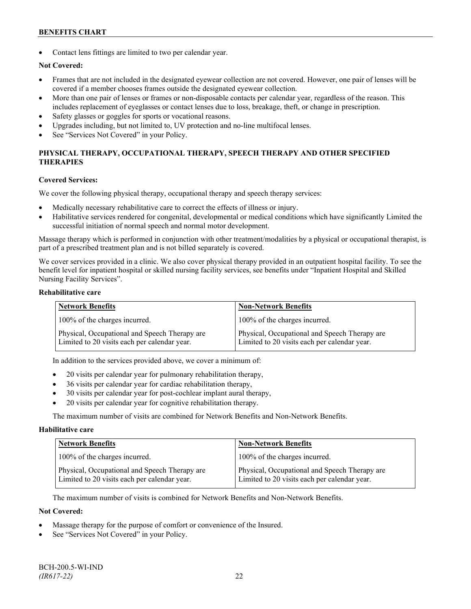Contact lens fittings are limited to two per calendar year.

# **Not Covered:**

- Frames that are not included in the designated eyewear collection are not covered. However, one pair of lenses will be covered if a member chooses frames outside the designated eyewear collection.
- More than one pair of lenses or frames or non-disposable contacts per calendar year, regardless of the reason. This includes replacement of eyeglasses or contact lenses due to loss, breakage, theft, or change in prescription.
- Safety glasses or goggles for sports or vocational reasons.
- Upgrades including, but not limited to, UV protection and no-line multifocal lenses.
- See "Services Not Covered" in your Policy.

# **PHYSICAL THERAPY, OCCUPATIONAL THERAPY, SPEECH THERAPY AND OTHER SPECIFIED THERAPIES**

#### **Covered Services:**

We cover the following physical therapy, occupational therapy and speech therapy services:

- Medically necessary rehabilitative care to correct the effects of illness or injury.
- Habilitative services rendered for congenital, developmental or medical conditions which have significantly Limited the successful initiation of normal speech and normal motor development.

Massage therapy which is performed in conjunction with other treatment/modalities by a physical or occupational therapist, is part of a prescribed treatment plan and is not billed separately is covered.

We cover services provided in a clinic. We also cover physical therapy provided in an outpatient hospital facility. To see the benefit level for inpatient hospital or skilled nursing facility services, see benefits under "Inpatient Hospital and Skilled Nursing Facility Services".

#### **Rehabilitative care**

| <b>Network Benefits</b>                                                                       | <b>Non-Network Benefits</b>                                                                   |
|-----------------------------------------------------------------------------------------------|-----------------------------------------------------------------------------------------------|
| 100% of the charges incurred.                                                                 | 100% of the charges incurred.                                                                 |
| Physical, Occupational and Speech Therapy are<br>Limited to 20 visits each per calendar year. | Physical, Occupational and Speech Therapy are<br>Limited to 20 visits each per calendar year. |

In addition to the services provided above, we cover a minimum of:

- 20 visits per calendar year for pulmonary rehabilitation therapy,
- 36 visits per calendar year for cardiac rehabilitation therapy,
- 30 visits per calendar year for post-cochlear implant aural therapy,
- 20 visits per calendar year for cognitive rehabilitation therapy.

The maximum number of visits are combined for Network Benefits and Non-Network Benefits.

#### **Habilitative care**

| <b>Network Benefits</b>                                                                       | <b>Non-Network Benefits</b>                                                                   |
|-----------------------------------------------------------------------------------------------|-----------------------------------------------------------------------------------------------|
| 100% of the charges incurred.                                                                 | 100% of the charges incurred.                                                                 |
| Physical, Occupational and Speech Therapy are<br>Limited to 20 visits each per calendar year. | Physical, Occupational and Speech Therapy are<br>Limited to 20 visits each per calendar year. |

The maximum number of visits is combined for Network Benefits and Non-Network Benefits.

# **Not Covered:**

- Massage therapy for the purpose of comfort or convenience of the Insured.
- See "Services Not Covered" in your Policy.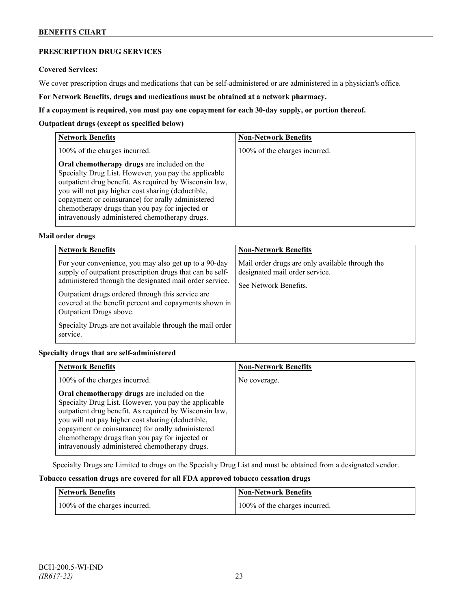# **PRESCRIPTION DRUG SERVICES**

#### **Covered Services:**

We cover prescription drugs and medications that can be self-administered or are administered in a physician's office.

**For Network Benefits, drugs and medications must be obtained at a network pharmacy.**

### **If a copayment is required, you must pay one copayment for each 30-day supply, or portion thereof.**

### **Outpatient drugs (except as specified below)**

| <b>Network Benefits</b>                                                                                                                                                                                                                                                                                                                                                      | <b>Non-Network Benefits</b>   |
|------------------------------------------------------------------------------------------------------------------------------------------------------------------------------------------------------------------------------------------------------------------------------------------------------------------------------------------------------------------------------|-------------------------------|
| 100% of the charges incurred.                                                                                                                                                                                                                                                                                                                                                | 100% of the charges incurred. |
| Oral chemotherapy drugs are included on the<br>Specialty Drug List. However, you pay the applicable<br>outpatient drug benefit. As required by Wisconsin law,<br>you will not pay higher cost sharing (deductible,<br>copayment or coinsurance) for orally administered<br>chemotherapy drugs than you pay for injected or<br>intravenously administered chemotherapy drugs. |                               |

# **Mail order drugs**

| <b>Network Benefits</b>                                                                                                                                                                                                                                                                                                                                                                         | <b>Non-Network Benefits</b>                                                                                |
|-------------------------------------------------------------------------------------------------------------------------------------------------------------------------------------------------------------------------------------------------------------------------------------------------------------------------------------------------------------------------------------------------|------------------------------------------------------------------------------------------------------------|
| For your convenience, you may also get up to a 90-day<br>supply of outpatient prescription drugs that can be self-<br>administered through the designated mail order service.<br>Outpatient drugs ordered through this service are<br>covered at the benefit percent and copayments shown in<br>Outpatient Drugs above.<br>Specialty Drugs are not available through the mail order<br>service. | Mail order drugs are only available through the<br>designated mail order service.<br>See Network Benefits. |

# **Specialty drugs that are self-administered**

| <b>Network Benefits</b>                                                                                                                                                                                                                                                                                                                                                      | <b>Non-Network Benefits</b> |
|------------------------------------------------------------------------------------------------------------------------------------------------------------------------------------------------------------------------------------------------------------------------------------------------------------------------------------------------------------------------------|-----------------------------|
| 100% of the charges incurred.                                                                                                                                                                                                                                                                                                                                                | No coverage.                |
| Oral chemotherapy drugs are included on the<br>Specialty Drug List. However, you pay the applicable<br>outpatient drug benefit. As required by Wisconsin law,<br>you will not pay higher cost sharing (deductible,<br>copayment or coinsurance) for orally administered<br>chemotherapy drugs than you pay for injected or<br>intravenously administered chemotherapy drugs. |                             |

Specialty Drugs are Limited to drugs on the Specialty Drug List and must be obtained from a designated vendor.

# **Tobacco cessation drugs are covered for all FDA approved tobacco cessation drugs**

| Network Benefits              | <b>Non-Network Benefits</b>   |
|-------------------------------|-------------------------------|
| 100% of the charges incurred. | 100% of the charges incurred. |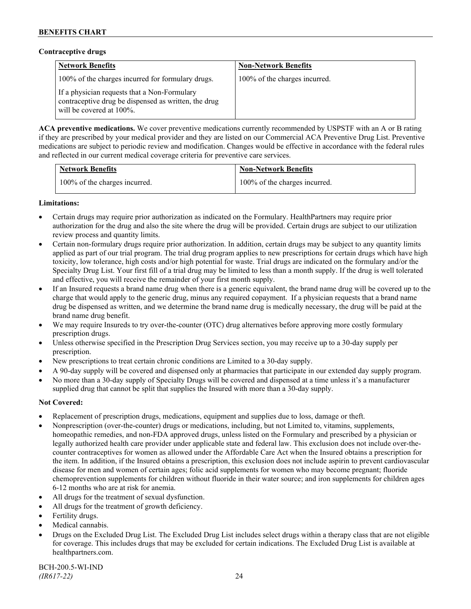### **Contraceptive drugs**

| <b>Network Benefits</b>                                                                                                              | <b>Non-Network Benefits</b>   |
|--------------------------------------------------------------------------------------------------------------------------------------|-------------------------------|
| 100% of the charges incurred for formulary drugs.                                                                                    | 100% of the charges incurred. |
| If a physician requests that a Non-Formulary<br>contraceptive drug be dispensed as written, the drug<br>will be covered at $100\%$ . |                               |

**ACA preventive medications.** We cover preventive medications currently recommended by USPSTF with an A or B rating if they are prescribed by your medical provider and they are listed on our Commercial ACA Preventive Drug List. Preventive medications are subject to periodic review and modification. Changes would be effective in accordance with the federal rules and reflected in our current medical coverage criteria for preventive care services.

| <b>Network Benefits</b>       | <b>Non-Network Benefits</b>   |
|-------------------------------|-------------------------------|
| 100% of the charges incurred. | 100% of the charges incurred. |

# **Limitations:**

- Certain drugs may require prior authorization as indicated on the Formulary. HealthPartners may require prior authorization for the drug and also the site where the drug will be provided. Certain drugs are subject to our utilization review process and quantity limits.
- Certain non-formulary drugs require prior authorization. In addition, certain drugs may be subject to any quantity limits applied as part of our trial program. The trial drug program applies to new prescriptions for certain drugs which have high toxicity, low tolerance, high costs and/or high potential for waste. Trial drugs are indicated on the formulary and/or the Specialty Drug List. Your first fill of a trial drug may be limited to less than a month supply. If the drug is well tolerated and effective, you will receive the remainder of your first month supply.
- If an Insured requests a brand name drug when there is a generic equivalent, the brand name drug will be covered up to the charge that would apply to the generic drug, minus any required copayment. If a physician requests that a brand name drug be dispensed as written, and we determine the brand name drug is medically necessary, the drug will be paid at the brand name drug benefit.
- We may require Insureds to try over-the-counter (OTC) drug alternatives before approving more costly formulary prescription drugs.
- Unless otherwise specified in the Prescription Drug Services section, you may receive up to a 30-day supply per prescription.
- New prescriptions to treat certain chronic conditions are Limited to a 30-day supply.
- A 90-day supply will be covered and dispensed only at pharmacies that participate in our extended day supply program.
- No more than a 30-day supply of Specialty Drugs will be covered and dispensed at a time unless it's a manufacturer supplied drug that cannot be split that supplies the Insured with more than a 30-day supply.

# **Not Covered:**

- Replacement of prescription drugs, medications, equipment and supplies due to loss, damage or theft.
- Nonprescription (over-the-counter) drugs or medications, including, but not Limited to, vitamins, supplements, homeopathic remedies, and non-FDA approved drugs, unless listed on the Formulary and prescribed by a physician or legally authorized health care provider under applicable state and federal law. This exclusion does not include over-thecounter contraceptives for women as allowed under the Affordable Care Act when the Insured obtains a prescription for the item. In addition, if the Insured obtains a prescription, this exclusion does not include aspirin to prevent cardiovascular disease for men and women of certain ages; folic acid supplements for women who may become pregnant; fluoride chemoprevention supplements for children without fluoride in their water source; and iron supplements for children ages 6-12 months who are at risk for anemia.
- All drugs for the treatment of sexual dysfunction.
- All drugs for the treatment of growth deficiency.
- Fertility drugs.
- Medical cannabis.
- Drugs on the Excluded Drug List. The Excluded Drug List includes select drugs within a therapy class that are not eligible for coverage. This includes drugs that may be excluded for certain indications. The Excluded Drug List is available at [healthpartners.com.](http://www.healthpartners.com/)

BCH-200.5-WI-IND *(IR617-22)* 24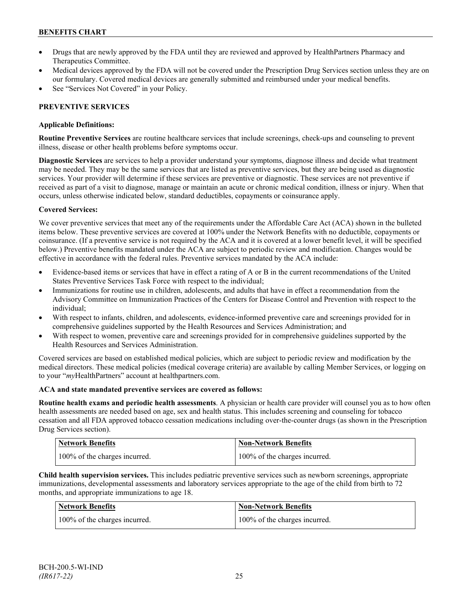- Drugs that are newly approved by the FDA until they are reviewed and approved by HealthPartners Pharmacy and Therapeutics Committee.
- Medical devices approved by the FDA will not be covered under the Prescription Drug Services section unless they are on our formulary. Covered medical devices are generally submitted and reimbursed under your medical benefits.
- See "Services Not Covered" in your Policy.

# **PREVENTIVE SERVICES**

# **Applicable Definitions:**

**Routine Preventive Services** are routine healthcare services that include screenings, check-ups and counseling to prevent illness, disease or other health problems before symptoms occur.

**Diagnostic Services** are services to help a provider understand your symptoms, diagnose illness and decide what treatment may be needed. They may be the same services that are listed as preventive services, but they are being used as diagnostic services. Your provider will determine if these services are preventive or diagnostic. These services are not preventive if received as part of a visit to diagnose, manage or maintain an acute or chronic medical condition, illness or injury. When that occurs, unless otherwise indicated below, standard deductibles, copayments or coinsurance apply.

# **Covered Services:**

We cover preventive services that meet any of the requirements under the Affordable Care Act (ACA) shown in the bulleted items below. These preventive services are covered at 100% under the Network Benefits with no deductible, copayments or coinsurance. (If a preventive service is not required by the ACA and it is covered at a lower benefit level, it will be specified below.) Preventive benefits mandated under the ACA are subject to periodic review and modification. Changes would be effective in accordance with the federal rules. Preventive services mandated by the ACA include:

- Evidence-based items or services that have in effect a rating of A or B in the current recommendations of the United States Preventive Services Task Force with respect to the individual;
- Immunizations for routine use in children, adolescents, and adults that have in effect a recommendation from the Advisory Committee on Immunization Practices of the Centers for Disease Control and Prevention with respect to the individual;
- With respect to infants, children, and adolescents, evidence-informed preventive care and screenings provided for in comprehensive guidelines supported by the Health Resources and Services Administration; and
- With respect to women, preventive care and screenings provided for in comprehensive guidelines supported by the Health Resources and Services Administration.

Covered services are based on established medical policies, which are subject to periodic review and modification by the medical directors. These medical policies (medical coverage criteria) are available by calling Member Services, or logging on to your "*my*HealthPartners" account at [healthpartners.com.](http://www.healthpartners.com/)

# **ACA and state mandated preventive services are covered as follows:**

**Routine health exams and periodic health assessments**. A physician or health care provider will counsel you as to how often health assessments are needed based on age, sex and health status. This includes screening and counseling for tobacco cessation and all FDA approved tobacco cessation medications including over-the-counter drugs (as shown in the Prescription Drug Services section).

| <b>Network Benefits</b>       | Non-Network Benefits          |
|-------------------------------|-------------------------------|
| 100% of the charges incurred. | 100% of the charges incurred. |

**Child health supervision services.** This includes pediatric preventive services such as newborn screenings, appropriate immunizations, developmental assessments and laboratory services appropriate to the age of the child from birth to 72 months, and appropriate immunizations to age 18.

| <b>Network Benefits</b>       | <b>Non-Network Benefits</b>   |
|-------------------------------|-------------------------------|
| 100% of the charges incurred. | 100% of the charges incurred. |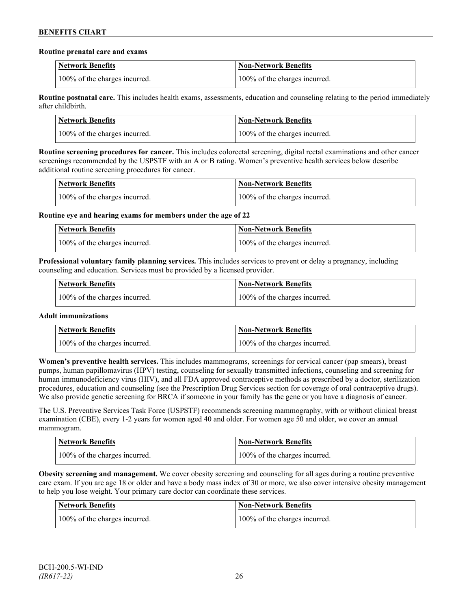#### **Routine prenatal care and exams**

| <b>Network Benefits</b>       | Non-Network Benefits          |
|-------------------------------|-------------------------------|
| 100% of the charges incurred. | 100% of the charges incurred. |

**Routine postnatal care.** This includes health exams, assessments, education and counseling relating to the period immediately after childbirth.

| <b>Network Benefits</b>       | <b>Non-Network Benefits</b>   |
|-------------------------------|-------------------------------|
| 100% of the charges incurred. | 100% of the charges incurred. |

**Routine screening procedures for cancer.** This includes colorectal screening, digital rectal examinations and other cancer screenings recommended by the USPSTF with an A or B rating. Women's preventive health services below describe additional routine screening procedures for cancer.

| Network Benefits              | <b>Non-Network Benefits</b>   |
|-------------------------------|-------------------------------|
| 100% of the charges incurred. | 100% of the charges incurred. |

**Routine eye and hearing exams for members under the age of 22**

| <b>Network Benefits</b>       | <b>Non-Network Benefits</b>   |
|-------------------------------|-------------------------------|
| 100% of the charges incurred. | 100% of the charges incurred. |

**Professional voluntary family planning services.** This includes services to prevent or delay a pregnancy, including counseling and education. Services must be provided by a licensed provider.

| Network Benefits              | <b>Non-Network Benefits</b>   |
|-------------------------------|-------------------------------|
| 100% of the charges incurred. | 100% of the charges incurred. |

# **Adult immunizations**

| <b>Network Benefits</b>       | <b>Non-Network Benefits</b>   |
|-------------------------------|-------------------------------|
| 100% of the charges incurred. | 100% of the charges incurred. |

**Women's preventive health services.** This includes mammograms, screenings for cervical cancer (pap smears), breast pumps, human papillomavirus (HPV) testing, counseling for sexually transmitted infections, counseling and screening for human immunodeficiency virus (HIV), and all FDA approved contraceptive methods as prescribed by a doctor, sterilization procedures, education and counseling (see the Prescription Drug Services section for coverage of oral contraceptive drugs). We also provide genetic screening for BRCA if someone in your family has the gene or you have a diagnosis of cancer.

The U.S. Preventive Services Task Force (USPSTF) recommends screening mammography, with or without clinical breast examination (CBE), every 1-2 years for women aged 40 and older. For women age 50 and older, we cover an annual mammogram.

| <b>Network Benefits</b>       | Non-Network Benefits          |
|-------------------------------|-------------------------------|
| 100% of the charges incurred. | 100% of the charges incurred. |

**Obesity screening and management.** We cover obesity screening and counseling for all ages during a routine preventive care exam. If you are age 18 or older and have a body mass index of 30 or more, we also cover intensive obesity management to help you lose weight. Your primary care doctor can coordinate these services.

| Network Benefits              | <b>Non-Network Benefits</b>   |
|-------------------------------|-------------------------------|
| 100% of the charges incurred. | 100% of the charges incurred. |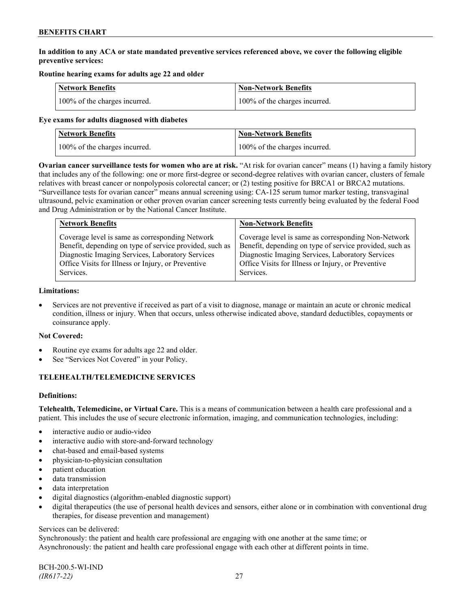# **In addition to any ACA or state mandated preventive services referenced above, we cover the following eligible preventive services:**

# **Routine hearing exams for adults age 22 and older**

| <b>Network Benefits</b>       | <b>Non-Network Benefits</b>   |
|-------------------------------|-------------------------------|
| 100% of the charges incurred. | 100% of the charges incurred. |

#### **Eye exams for adults diagnosed with diabetes**

| Network Benefits              | <b>Non-Network Benefits</b>   |
|-------------------------------|-------------------------------|
| 100% of the charges incurred. | 100% of the charges incurred. |

**Ovarian cancer surveillance tests for women who are at risk.** "At risk for ovarian cancer" means (1) having a family history that includes any of the following: one or more first-degree or second-degree relatives with ovarian cancer, clusters of female relatives with breast cancer or nonpolyposis colorectal cancer; or (2) testing positive for BRCA1 or BRCA2 mutations. "Surveillance tests for ovarian cancer" means annual screening using: CA-125 serum tumor marker testing, transvaginal ultrasound, pelvic examination or other proven ovarian cancer screening tests currently being evaluated by the federal Food and Drug Administration or by the National Cancer Institute.

| <b>Network Benefits</b>                                 | <b>Non-Network Benefits</b>                             |
|---------------------------------------------------------|---------------------------------------------------------|
| Coverage level is same as corresponding Network         | Coverage level is same as corresponding Non-Network     |
| Benefit, depending on type of service provided, such as | Benefit, depending on type of service provided, such as |
| Diagnostic Imaging Services, Laboratory Services        | Diagnostic Imaging Services, Laboratory Services        |
| Office Visits for Illness or Injury, or Preventive      | Office Visits for Illness or Injury, or Preventive      |
| Services.                                               | Services.                                               |

#### **Limitations:**

• Services are not preventive if received as part of a visit to diagnose, manage or maintain an acute or chronic medical condition, illness or injury. When that occurs, unless otherwise indicated above, standard deductibles, copayments or coinsurance apply.

# **Not Covered:**

- Routine eye exams for adults age 22 and older.
- See "Services Not Covered" in your Policy.

# **TELEHEALTH/TELEMEDICINE SERVICES**

# **Definitions:**

**Telehealth, Telemedicine, or Virtual Care.** This is a means of communication between a health care professional and a patient. This includes the use of secure electronic information, imaging, and communication technologies, including:

- interactive audio or audio-video
- interactive audio with store-and-forward technology
- chat-based and email-based systems
- physician-to-physician consultation
- patient education
- data transmission
- data interpretation
- digital diagnostics (algorithm-enabled diagnostic support)
- digital therapeutics (the use of personal health devices and sensors, either alone or in combination with conventional drug therapies, for disease prevention and management)

#### Services can be delivered:

Synchronously: the patient and health care professional are engaging with one another at the same time; or Asynchronously: the patient and health care professional engage with each other at different points in time.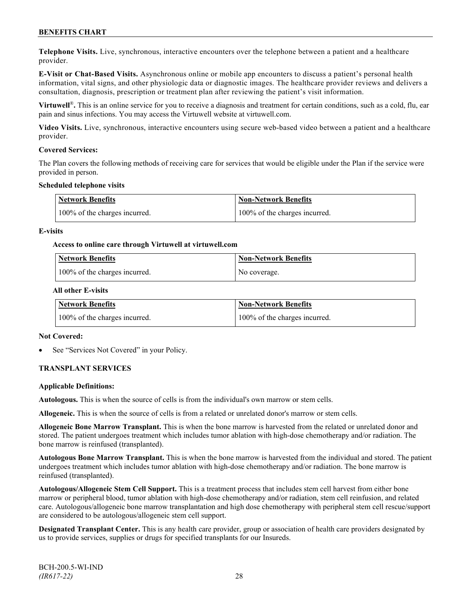**Telephone Visits.** Live, synchronous, interactive encounters over the telephone between a patient and a healthcare provider.

**E-Visit or Chat-Based Visits.** Asynchronous online or mobile app encounters to discuss a patient's personal health information, vital signs, and other physiologic data or diagnostic images. The healthcare provider reviews and delivers a consultation, diagnosis, prescription or treatment plan after reviewing the patient's visit information.

**Virtuwell<sup>®</sup>**. This is an online service for you to receive a diagnosis and treatment for certain conditions, such as a cold, flu, ear pain and sinus infections. You may access the Virtuwell website at [virtuwell.com.](https://www.virtuwell.com/)

**Video Visits.** Live, synchronous, interactive encounters using secure web-based video between a patient and a healthcare provider.

#### **Covered Services:**

The Plan covers the following methods of receiving care for services that would be eligible under the Plan if the service were provided in person.

### **Scheduled telephone visits**

| <b>Network Benefits</b>       | <b>Non-Network Benefits</b>   |
|-------------------------------|-------------------------------|
| 100% of the charges incurred. | 100% of the charges incurred. |

#### **E-visits**

#### **Access to online care through Virtuwell at [virtuwell.com](http://www.virtuwell.com/)**

| Network Benefits              | <b>Non-Network Benefits</b> |
|-------------------------------|-----------------------------|
| 100% of the charges incurred. | No coverage.                |

#### **All other E-visits**

| Network Benefits              | <b>Non-Network Benefits</b>   |
|-------------------------------|-------------------------------|
| 100% of the charges incurred. | 100% of the charges incurred. |

#### **Not Covered:**

See "Services Not Covered" in your Policy.

# **TRANSPLANT SERVICES**

#### **Applicable Definitions:**

**Autologous.** This is when the source of cells is from the individual's own marrow or stem cells.

**Allogeneic.** This is when the source of cells is from a related or unrelated donor's marrow or stem cells.

**Allogeneic Bone Marrow Transplant.** This is when the bone marrow is harvested from the related or unrelated donor and stored. The patient undergoes treatment which includes tumor ablation with high-dose chemotherapy and/or radiation. The bone marrow is reinfused (transplanted).

**Autologous Bone Marrow Transplant.** This is when the bone marrow is harvested from the individual and stored. The patient undergoes treatment which includes tumor ablation with high-dose chemotherapy and/or radiation. The bone marrow is reinfused (transplanted).

**Autologous/Allogeneic Stem Cell Support.** This is a treatment process that includes stem cell harvest from either bone marrow or peripheral blood, tumor ablation with high-dose chemotherapy and/or radiation, stem cell reinfusion, and related care. Autologous/allogeneic bone marrow transplantation and high dose chemotherapy with peripheral stem cell rescue/support are considered to be autologous/allogeneic stem cell support.

**Designated Transplant Center.** This is any health care provider, group or association of health care providers designated by us to provide services, supplies or drugs for specified transplants for our Insureds.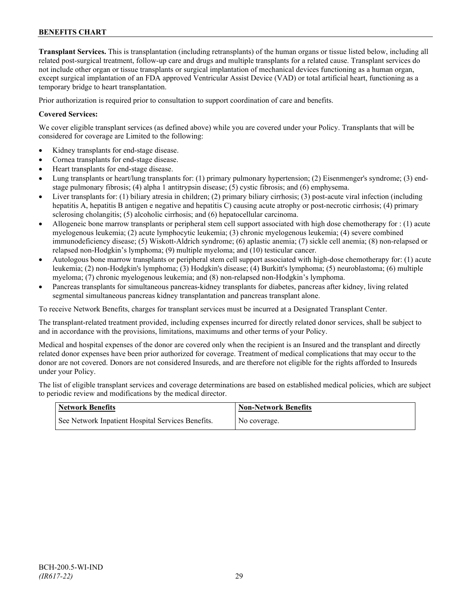**Transplant Services.** This is transplantation (including retransplants) of the human organs or tissue listed below, including all related post-surgical treatment, follow-up care and drugs and multiple transplants for a related cause. Transplant services do not include other organ or tissue transplants or surgical implantation of mechanical devices functioning as a human organ, except surgical implantation of an FDA approved Ventricular Assist Device (VAD) or total artificial heart, functioning as a temporary bridge to heart transplantation.

Prior authorization is required prior to consultation to support coordination of care and benefits.

### **Covered Services:**

We cover eligible transplant services (as defined above) while you are covered under your Policy. Transplants that will be considered for coverage are Limited to the following:

- Kidney transplants for end-stage disease.
- Cornea transplants for end-stage disease.
- Heart transplants for end-stage disease.
- Lung transplants or heart/lung transplants for: (1) primary pulmonary hypertension; (2) Eisenmenger's syndrome; (3) endstage pulmonary fibrosis; (4) alpha 1 antitrypsin disease; (5) cystic fibrosis; and (6) emphysema.
- Liver transplants for: (1) biliary atresia in children; (2) primary biliary cirrhosis; (3) post-acute viral infection (including hepatitis A, hepatitis B antigen e negative and hepatitis C) causing acute atrophy or post-necrotic cirrhosis; (4) primary sclerosing cholangitis; (5) alcoholic cirrhosis; and (6) hepatocellular carcinoma.
- Allogeneic bone marrow transplants or peripheral stem cell support associated with high dose chemotherapy for : (1) acute myelogenous leukemia; (2) acute lymphocytic leukemia; (3) chronic myelogenous leukemia; (4) severe combined immunodeficiency disease; (5) Wiskott-Aldrich syndrome; (6) aplastic anemia; (7) sickle cell anemia; (8) non-relapsed or relapsed non-Hodgkin's lymphoma; (9) multiple myeloma; and (10) testicular cancer.
- Autologous bone marrow transplants or peripheral stem cell support associated with high-dose chemotherapy for: (1) acute leukemia; (2) non-Hodgkin's lymphoma; (3) Hodgkin's disease; (4) Burkitt's lymphoma; (5) neuroblastoma; (6) multiple myeloma; (7) chronic myelogenous leukemia; and (8) non-relapsed non-Hodgkin's lymphoma.
- Pancreas transplants for simultaneous pancreas-kidney transplants for diabetes, pancreas after kidney, living related segmental simultaneous pancreas kidney transplantation and pancreas transplant alone.

To receive Network Benefits, charges for transplant services must be incurred at a Designated Transplant Center.

The transplant-related treatment provided, including expenses incurred for directly related donor services, shall be subject to and in accordance with the provisions, limitations, maximums and other terms of your Policy.

Medical and hospital expenses of the donor are covered only when the recipient is an Insured and the transplant and directly related donor expenses have been prior authorized for coverage. Treatment of medical complications that may occur to the donor are not covered. Donors are not considered Insureds, and are therefore not eligible for the rights afforded to Insureds under your Policy.

The list of eligible transplant services and coverage determinations are based on established medical policies, which are subject to periodic review and modifications by the medical director.

| <b>Network Benefits</b>                           | Mon-Network Benefits |
|---------------------------------------------------|----------------------|
| See Network Inpatient Hospital Services Benefits. | No coverage.         |